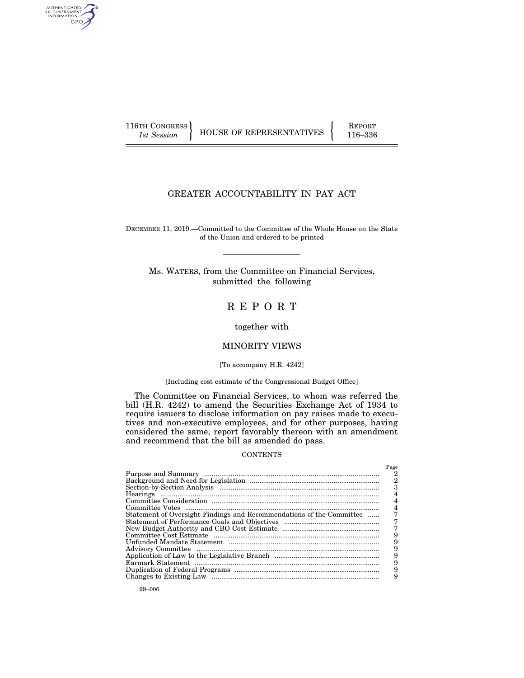AUTHENTICATED<br>U.S. GOVERNMENT<br>INFORMATION GPO

116TH CONGRESS HOUSE OF REPRESENTATIVES FEPORT 116–336

# GREATER ACCOUNTABILITY IN PAY ACT

DECEMBER 11, 2019.—Committed to the Committee of the Whole House on the State of the Union and ordered to be printed

Ms. WATERS, from the Committee on Financial Services, submitted the following

# R E P O R T

together with

# MINORITY VIEWS

#### [To accompany H.R. 4242]

# [Including cost estimate of the Congressional Budget Office]

The Committee on Financial Services, to whom was referred the bill (H.R. 4242) to amend the Securities Exchange Act of 1934 to require issuers to disclose information on pay raises made to executives and non-executive employees, and for other purposes, having considered the same, report favorably thereon with an amendment and recommend that the bill as amended do pass.

# **CONTENTS**

|                                                                      | Page |
|----------------------------------------------------------------------|------|
|                                                                      |      |
|                                                                      | 2    |
|                                                                      |      |
|                                                                      |      |
|                                                                      |      |
|                                                                      |      |
| Statement of Oversight Findings and Recommendations of the Committee |      |
|                                                                      |      |
|                                                                      |      |
|                                                                      |      |
|                                                                      | 9    |
|                                                                      |      |
|                                                                      | 9    |
|                                                                      |      |
|                                                                      | 9    |
|                                                                      | 9    |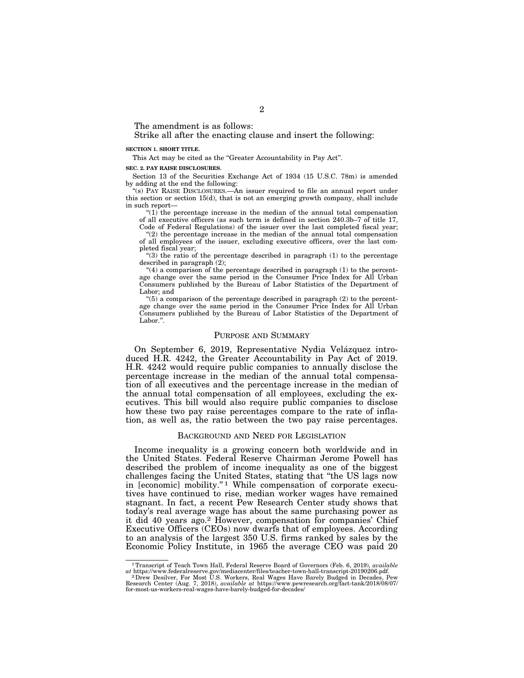The amendment is as follows:

Strike all after the enacting clause and insert the following:

#### **SECTION 1. SHORT TITLE.**

This Act may be cited as the "Greater Accountability in Pay Act".

**SEC. 2. PAY RAISE DISCLOSURES.** 

Section 13 of the Securities Exchange Act of 1934 (15 U.S.C. 78m) is amended by adding at the end the following:

''(s) PAY RAISE DISCLOSURES.—An issuer required to file an annual report under this section or section 15(d), that is not an emerging growth company, shall include in such report—

" $(1)$  the percentage increase in the median of the annual total compensation of all executive officers (as such term is defined in section 240.3b–7 of title 17, Code of Federal Regulations) of the issuer over the last completed fiscal year;

 $(2)$  the percentage increase in the median of the annual total compensation of all employees of the issuer, excluding executive officers, over the last completed fiscal year;

"(3) the ratio of the percentage described in paragraph (1) to the percentage described in paragraph (2);

" $(4)$  a comparison of the percentage described in paragraph  $(1)$  to the percentage change over the same period in the Consumer Price Index for All Urban Consumers published by the Bureau of Labor Statistics of the Department of Labor; and

"(5) a comparison of the percentage described in paragraph  $(2)$  to the percentage change over the same period in the Consumer Price Index for All Urban Consumers published by the Bureau of Labor Statistics of the Department of Labor.''.

# PURPOSE AND SUMMARY

On September 6, 2019, Representative Nydia Velázquez introduced H.R. 4242, the Greater Accountability in Pay Act of 2019. H.R. 4242 would require public companies to annually disclose the percentage increase in the median of the annual total compensation of all executives and the percentage increase in the median of the annual total compensation of all employees, excluding the executives. This bill would also require public companies to disclose how these two pay raise percentages compare to the rate of inflation, as well as, the ratio between the two pay raise percentages.

#### BACKGROUND AND NEED FOR LEGISLATION

Income inequality is a growing concern both worldwide and in the United States. Federal Reserve Chairman Jerome Powell has described the problem of income inequality as one of the biggest challenges facing the United States, stating that ''the US lags now in [economic] mobility."<sup>1</sup> While compensation of corporate executives have continued to rise, median worker wages have remained stagnant. In fact, a recent Pew Research Center study shows that today's real average wage has about the same purchasing power as it did 40 years ago.2 However, compensation for companies' Chief Executive Officers (CEOs) now dwarfs that of employees. According to an analysis of the largest 350 U.S. firms ranked by sales by the Economic Policy Institute, in 1965 the average CEO was paid 20

<sup>1</sup>Transcript of Teach Town Hall, Federal Reserve Board of Governors (Feb. 6, 2019), *available at* https://www.federalreserve.gov/mediacenter/files/teacher-town-hall-transcript-20190206.pdf.

<sup>&</sup>lt;sup>2</sup> Drew Desilver, For Most U.S. Workers, Real Wages Have Barely Budged in Decades, Pew<br>Research Center (Aug. 7, 2018), *available at* https://www.pewresearch.org/fact-tank/2018/08/07/<br>for-most-us-workers-real-wages-have-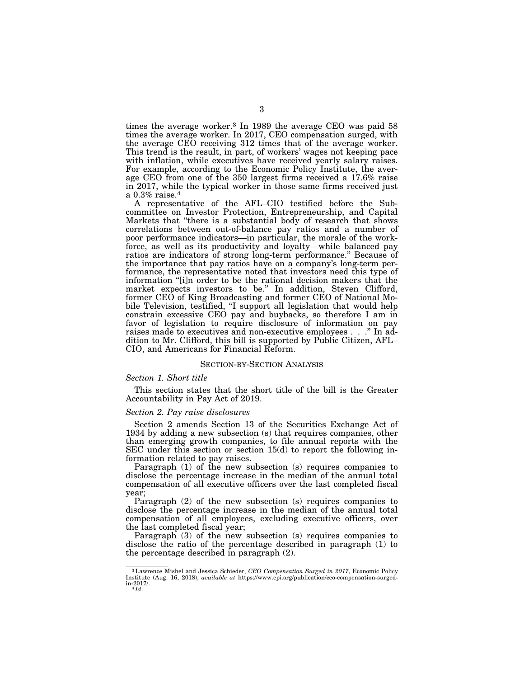times the average worker.<sup>3</sup> In 1989 the average CEO was paid 58 times the average worker. In 2017, CEO compensation surged, with the average CEO receiving 312 times that of the average worker. This trend is the result, in part, of workers' wages not keeping pace with inflation, while executives have received yearly salary raises. For example, according to the Economic Policy Institute, the average CEO from one of the 350 largest firms received a 17.6% raise in 2017, while the typical worker in those same firms received just a 0.3% raise.4

A representative of the AFL–CIO testified before the Subcommittee on Investor Protection, Entrepreneurship, and Capital Markets that ''there is a substantial body of research that shows correlations between out-of-balance pay ratios and a number of poor performance indicators—in particular, the morale of the workforce, as well as its productivity and loyalty—while balanced pay ratios are indicators of strong long-term performance.'' Because of the importance that pay ratios have on a company's long-term performance, the representative noted that investors need this type of information ''[i]n order to be the rational decision makers that the market expects investors to be.'' In addition, Steven Clifford, former CEO of King Broadcasting and former CEO of National Mobile Television, testified, "I support all legislation that would help constrain excessive CEO pay and buybacks, so therefore I am in favor of legislation to require disclosure of information on pay raises made to executives and non-executive employees . . .'' In addition to Mr. Clifford, this bill is supported by Public Citizen, AFL– CIO, and Americans for Financial Reform.

#### SECTION-BY-SECTION ANALYSIS

### *Section 1. Short title*

This section states that the short title of the bill is the Greater Accountability in Pay Act of 2019.

#### *Section 2. Pay raise disclosures*

Section 2 amends Section 13 of the Securities Exchange Act of 1934 by adding a new subsection (s) that requires companies, other than emerging growth companies, to file annual reports with the SEC under this section or section 15(d) to report the following information related to pay raises.

Paragraph (1) of the new subsection (s) requires companies to disclose the percentage increase in the median of the annual total compensation of all executive officers over the last completed fiscal year;

Paragraph (2) of the new subsection (s) requires companies to disclose the percentage increase in the median of the annual total compensation of all employees, excluding executive officers, over the last completed fiscal year;

Paragraph (3) of the new subsection (s) requires companies to disclose the ratio of the percentage described in paragraph (1) to the percentage described in paragraph (2).

<sup>3</sup>Lawrence Mishel and Jessica Schieder, *CEO Compensation Surged in 2017*, Economic Policy Institute (Aug. 16, 2018), *available at* https://www.epi.org/publication/ceo-compensation-surged-in-2017/. 4 *Id*.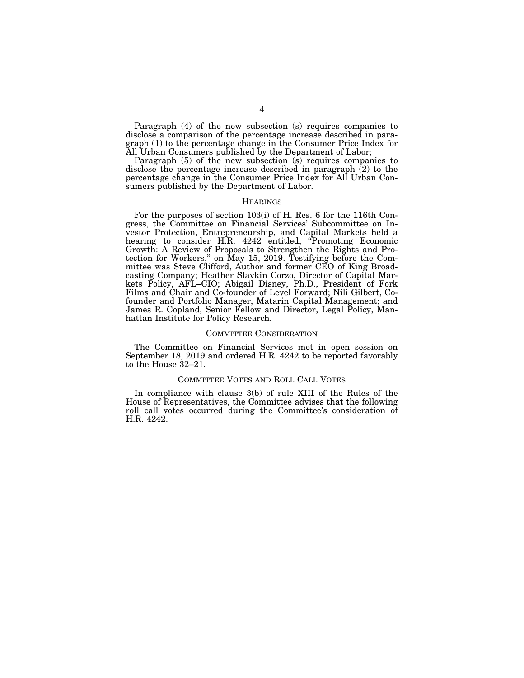Paragraph (4) of the new subsection (s) requires companies to disclose a comparison of the percentage increase described in paragraph (1) to the percentage change in the Consumer Price Index for All Urban Consumers published by the Department of Labor;

Paragraph  $(5)$  of the new subsection  $(s)$  requires companies to disclose the percentage increase described in paragraph (2) to the percentage change in the Consumer Price Index for All Urban Consumers published by the Department of Labor.

# **HEARINGS**

For the purposes of section 103(i) of H. Res. 6 for the 116th Congress, the Committee on Financial Services' Subcommittee on Investor Protection, Entrepreneurship, and Capital Markets held a hearing to consider H.R. 4242 entitled, ''Promoting Economic Growth: A Review of Proposals to Strengthen the Rights and Protection for Workers,'' on May 15, 2019. Testifying before the Committee was Steve Clifford, Author and former CEO of King Broadcasting Company; Heather Slavkin Corzo, Director of Capital Markets Policy, AFL–CIO; Abigail Disney, Ph.D., President of Fork Films and Chair and Co-founder of Level Forward; Nili Gilbert, Cofounder and Portfolio Manager, Matarin Capital Management; and James R. Copland, Senior Fellow and Director, Legal Policy, Manhattan Institute for Policy Research.

### COMMITTEE CONSIDERATION

The Committee on Financial Services met in open session on September 18, 2019 and ordered H.R. 4242 to be reported favorably to the House  $32-21$ .

## COMMITTEE VOTES AND ROLL CALL VOTES

In compliance with clause 3(b) of rule XIII of the Rules of the House of Representatives, the Committee advises that the following roll call votes occurred during the Committee's consideration of H.R. 4242.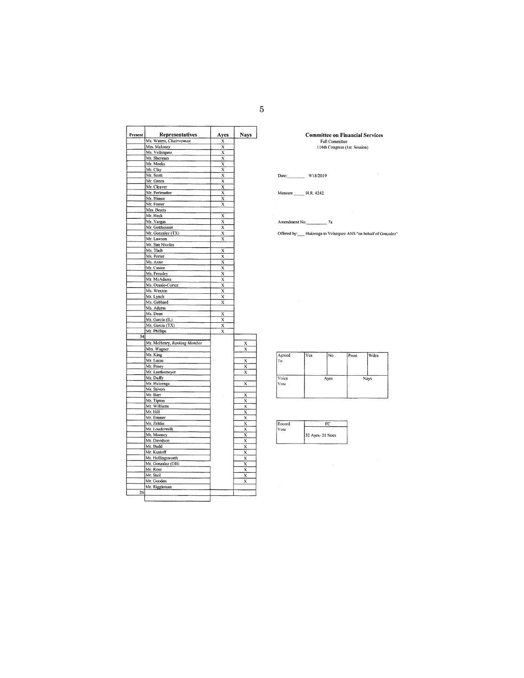| Present | Representatives             | Ayes                    | Nays                    |
|---------|-----------------------------|-------------------------|-------------------------|
|         | Ms. Waters, Chairwoman      | X                       |                         |
|         | Mrs. Maloney                | $\overline{\mathbf{x}}$ |                         |
|         | Ms. Velázquez               | x                       |                         |
|         | Mr. Sherman                 | Х                       |                         |
|         | Mr. Meeks                   | X                       |                         |
|         | Mr. Clay                    | $\overline{\mathbf{x}}$ |                         |
|         | Mr. Scott                   | X                       |                         |
|         | Mr. Green                   | x                       |                         |
|         |                             |                         |                         |
|         | Mr. Cleaver                 | X                       |                         |
|         | Mr. Perlmutter              | X                       |                         |
|         | Mr. Himes                   | X                       |                         |
|         | Mr. Foster                  | $\overline{\mathbf{x}}$ |                         |
|         | Mrs. Beatty                 |                         |                         |
|         | Mr. Heck                    | X                       |                         |
|         | Mr. Vargas                  | $\overline{\mathbf{x}}$ |                         |
|         | Mr. Gottheimer              | X                       |                         |
|         | Mr. Gonzalez (TX)           | х                       |                         |
|         | Mr. Lawson                  | X                       |                         |
|         | Mr. San Nicolas             |                         |                         |
|         | Ms. Tlaib                   | Х                       |                         |
|         | Ms. Porter                  | X                       |                         |
|         | Ms. Axne                    | $\overline{\mathbf{x}}$ |                         |
|         |                             |                         |                         |
|         | Mr. Casten                  | x                       |                         |
|         | Ms. Pressley                | X                       |                         |
|         | Mr. McAdams                 | $\overline{\mathbf{x}}$ |                         |
|         | Ms. Ocasio-Cortez           | X                       |                         |
|         | Ms. Wexton                  | X                       |                         |
|         | Mr. Lynch                   | X                       |                         |
|         | Ms. Gabbard                 | $\overline{\mathbf{x}}$ |                         |
|         | Ms. Adams                   |                         |                         |
|         | Ms. Dean                    | X                       |                         |
|         | Mr. Garcia (IL)             | $\overline{\mathbf{x}}$ |                         |
|         | Ms. Garcia (TX)             | X                       |                         |
|         | Mr. Phillips                | x                       |                         |
| 34      |                             |                         |                         |
|         | Mr. McHenry, Ranking Member |                         | х                       |
|         | Mrs. Wagner                 |                         | X                       |
|         | Mr. King                    |                         |                         |
|         | Mr. Lucas                   |                         | X                       |
|         | Mr. Posey                   |                         | X                       |
|         |                             |                         |                         |
|         | Mr. Luetkemeyer             |                         | X                       |
|         |                             |                         |                         |
|         | Mr. Duffy                   |                         |                         |
|         | Mr. Huizenga                |                         | $\bar{\mathbf{x}}$      |
|         | Mr. Stivers                 |                         |                         |
|         | Mr. Barr                    |                         | x                       |
|         | Mr. Tipton                  |                         | X                       |
|         | Mr. Williams                |                         | X                       |
|         | Mr. Hill                    |                         | x                       |
|         | Mr. Emmer                   |                         | X                       |
|         | Mr. Zeldin                  |                         | X                       |
|         | Mr. Loudermilk              |                         |                         |
|         | Mr. Mooney                  |                         | X                       |
|         |                             |                         | $\overline{\mathbf{x}}$ |
|         | Mr. Davidson                |                         | X                       |
|         | Mr. Budd                    |                         | x                       |
|         | Mr. Kustoff                 |                         | X                       |
|         | Mr. Hollingsworth           |                         | $\bar{\mathbf{x}}$      |
|         | Mr. Gonzalez (OH)           |                         | $\bar{\mathbf{x}}$      |
|         | Mr. Rose                    |                         | $\overline{\mathbf{x}}$ |
|         | Mr. Steil                   |                         | x                       |
|         | Mr. Gooden                  |                         | X                       |
| 26      | Mr. Riggleman               |                         |                         |

| <b>Committee on Financial Services</b> |
|----------------------------------------|
| <b>Full Committee</b>                  |
| 116th Congress (1st Session)           |

Date: 9/18/2019

Measure H.R. 4242

Amendment No. 7a

Offered by:\_ Huizenga to Velazquez ANS "on behalf of Gonzalez"

| Agreed<br>To  | Yes  | I No | Prsnt | Wdrn |  |
|---------------|------|------|-------|------|--|
| Voice<br>Vote | Ayes |      |       | Nays |  |
|               |      |      |       |      |  |

| 1 Record |                 |
|----------|-----------------|
| Vote     |                 |
|          | 32 Ayes-21 Noes |
|          |                 |

5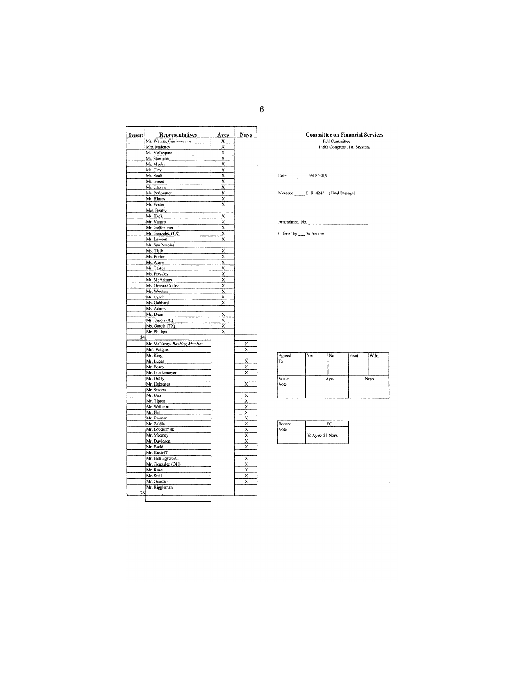| Representatives<br>Ms. Waters, Chairwoman<br>X<br>Mrs. Maloney<br>x<br>X<br>Ms. Velázquez<br>x<br>Mr. Sherman<br>$\overline{\mathbf{x}}$<br>Mr. Meeks<br>$\mathbf{\bar{x}}$<br>Mr. Clay<br>Mr. Scott<br>$\overline{\mathbf{x}}$<br>$\overline{\mathbf{x}}$<br>Mr. Green<br>Mr. Cleaver<br>x<br>$\overline{\mathbf{x}}$<br>Mr. Perlmutter<br>$\overline{\mathbf{x}}$<br>Mr. Himes<br>Mr. Foster<br>X<br>Mrs. Beatty<br>Mr. Heck<br>X<br>Mr. Vargas<br>X<br>Mr. Gottheimer<br>X<br>Mr. Gonzalez (TX)<br>X<br>$\overline{\mathbf{x}}$<br>Mr. Lawson<br>Mr. San Nicolas<br>Ms. Tlaib<br>X<br>Ms. Porter<br>X<br>Ms. Axne<br>X<br>Mr. Casten<br>X<br>Ms. Pressley<br>X<br>X<br>Mr. McAdams<br>Ms. Ocasio-Cortez<br>X<br>Ms. Wexton<br>X<br>$\overline{x}$<br>Mr. Lynch<br>Ms. Gabbard<br>X<br>Ms. Adams<br>Ms. Dean<br>X<br>Mr. Garcia (IL)<br>x<br>Ms. Garcia (TX)<br>X<br>Mr. Phillips<br>X<br>34<br>Mr. McHenry, Ranking Member<br>Mrs. Wagner<br>Mr. King<br>Mr. Lucas<br>Mr. Posey<br>Mr. Luetkemeyer<br>Mr. Duffy<br>Mr. Huizenga<br>Mr. Stivers<br>Mr. Barr<br>Mr. Tipton<br>Mr. Williams<br>Mr. Hill<br>Mr. Emmer<br>Mr. Zeldin<br>Mr. Loudermilk<br>Mr. Mooney<br>Mr. Davidson<br>Mr. Budd<br>Mr. Kustoff<br>Mr. Hollingsworth<br>Mr. Gonzalez (OH)<br>Mr. Rose<br>Mr. Steil | Nays                    |
|----------------------------------------------------------------------------------------------------------------------------------------------------------------------------------------------------------------------------------------------------------------------------------------------------------------------------------------------------------------------------------------------------------------------------------------------------------------------------------------------------------------------------------------------------------------------------------------------------------------------------------------------------------------------------------------------------------------------------------------------------------------------------------------------------------------------------------------------------------------------------------------------------------------------------------------------------------------------------------------------------------------------------------------------------------------------------------------------------------------------------------------------------------------------------------------------------------------------------------------------------------------------------------|-------------------------|
|                                                                                                                                                                                                                                                                                                                                                                                                                                                                                                                                                                                                                                                                                                                                                                                                                                                                                                                                                                                                                                                                                                                                                                                                                                                                                  |                         |
|                                                                                                                                                                                                                                                                                                                                                                                                                                                                                                                                                                                                                                                                                                                                                                                                                                                                                                                                                                                                                                                                                                                                                                                                                                                                                  |                         |
|                                                                                                                                                                                                                                                                                                                                                                                                                                                                                                                                                                                                                                                                                                                                                                                                                                                                                                                                                                                                                                                                                                                                                                                                                                                                                  |                         |
|                                                                                                                                                                                                                                                                                                                                                                                                                                                                                                                                                                                                                                                                                                                                                                                                                                                                                                                                                                                                                                                                                                                                                                                                                                                                                  |                         |
|                                                                                                                                                                                                                                                                                                                                                                                                                                                                                                                                                                                                                                                                                                                                                                                                                                                                                                                                                                                                                                                                                                                                                                                                                                                                                  |                         |
|                                                                                                                                                                                                                                                                                                                                                                                                                                                                                                                                                                                                                                                                                                                                                                                                                                                                                                                                                                                                                                                                                                                                                                                                                                                                                  |                         |
|                                                                                                                                                                                                                                                                                                                                                                                                                                                                                                                                                                                                                                                                                                                                                                                                                                                                                                                                                                                                                                                                                                                                                                                                                                                                                  |                         |
|                                                                                                                                                                                                                                                                                                                                                                                                                                                                                                                                                                                                                                                                                                                                                                                                                                                                                                                                                                                                                                                                                                                                                                                                                                                                                  |                         |
|                                                                                                                                                                                                                                                                                                                                                                                                                                                                                                                                                                                                                                                                                                                                                                                                                                                                                                                                                                                                                                                                                                                                                                                                                                                                                  |                         |
|                                                                                                                                                                                                                                                                                                                                                                                                                                                                                                                                                                                                                                                                                                                                                                                                                                                                                                                                                                                                                                                                                                                                                                                                                                                                                  |                         |
|                                                                                                                                                                                                                                                                                                                                                                                                                                                                                                                                                                                                                                                                                                                                                                                                                                                                                                                                                                                                                                                                                                                                                                                                                                                                                  |                         |
|                                                                                                                                                                                                                                                                                                                                                                                                                                                                                                                                                                                                                                                                                                                                                                                                                                                                                                                                                                                                                                                                                                                                                                                                                                                                                  |                         |
|                                                                                                                                                                                                                                                                                                                                                                                                                                                                                                                                                                                                                                                                                                                                                                                                                                                                                                                                                                                                                                                                                                                                                                                                                                                                                  |                         |
|                                                                                                                                                                                                                                                                                                                                                                                                                                                                                                                                                                                                                                                                                                                                                                                                                                                                                                                                                                                                                                                                                                                                                                                                                                                                                  |                         |
|                                                                                                                                                                                                                                                                                                                                                                                                                                                                                                                                                                                                                                                                                                                                                                                                                                                                                                                                                                                                                                                                                                                                                                                                                                                                                  |                         |
|                                                                                                                                                                                                                                                                                                                                                                                                                                                                                                                                                                                                                                                                                                                                                                                                                                                                                                                                                                                                                                                                                                                                                                                                                                                                                  |                         |
|                                                                                                                                                                                                                                                                                                                                                                                                                                                                                                                                                                                                                                                                                                                                                                                                                                                                                                                                                                                                                                                                                                                                                                                                                                                                                  |                         |
|                                                                                                                                                                                                                                                                                                                                                                                                                                                                                                                                                                                                                                                                                                                                                                                                                                                                                                                                                                                                                                                                                                                                                                                                                                                                                  |                         |
|                                                                                                                                                                                                                                                                                                                                                                                                                                                                                                                                                                                                                                                                                                                                                                                                                                                                                                                                                                                                                                                                                                                                                                                                                                                                                  |                         |
|                                                                                                                                                                                                                                                                                                                                                                                                                                                                                                                                                                                                                                                                                                                                                                                                                                                                                                                                                                                                                                                                                                                                                                                                                                                                                  |                         |
|                                                                                                                                                                                                                                                                                                                                                                                                                                                                                                                                                                                                                                                                                                                                                                                                                                                                                                                                                                                                                                                                                                                                                                                                                                                                                  |                         |
|                                                                                                                                                                                                                                                                                                                                                                                                                                                                                                                                                                                                                                                                                                                                                                                                                                                                                                                                                                                                                                                                                                                                                                                                                                                                                  |                         |
|                                                                                                                                                                                                                                                                                                                                                                                                                                                                                                                                                                                                                                                                                                                                                                                                                                                                                                                                                                                                                                                                                                                                                                                                                                                                                  |                         |
|                                                                                                                                                                                                                                                                                                                                                                                                                                                                                                                                                                                                                                                                                                                                                                                                                                                                                                                                                                                                                                                                                                                                                                                                                                                                                  |                         |
|                                                                                                                                                                                                                                                                                                                                                                                                                                                                                                                                                                                                                                                                                                                                                                                                                                                                                                                                                                                                                                                                                                                                                                                                                                                                                  |                         |
|                                                                                                                                                                                                                                                                                                                                                                                                                                                                                                                                                                                                                                                                                                                                                                                                                                                                                                                                                                                                                                                                                                                                                                                                                                                                                  |                         |
|                                                                                                                                                                                                                                                                                                                                                                                                                                                                                                                                                                                                                                                                                                                                                                                                                                                                                                                                                                                                                                                                                                                                                                                                                                                                                  |                         |
|                                                                                                                                                                                                                                                                                                                                                                                                                                                                                                                                                                                                                                                                                                                                                                                                                                                                                                                                                                                                                                                                                                                                                                                                                                                                                  |                         |
|                                                                                                                                                                                                                                                                                                                                                                                                                                                                                                                                                                                                                                                                                                                                                                                                                                                                                                                                                                                                                                                                                                                                                                                                                                                                                  |                         |
|                                                                                                                                                                                                                                                                                                                                                                                                                                                                                                                                                                                                                                                                                                                                                                                                                                                                                                                                                                                                                                                                                                                                                                                                                                                                                  |                         |
|                                                                                                                                                                                                                                                                                                                                                                                                                                                                                                                                                                                                                                                                                                                                                                                                                                                                                                                                                                                                                                                                                                                                                                                                                                                                                  |                         |
|                                                                                                                                                                                                                                                                                                                                                                                                                                                                                                                                                                                                                                                                                                                                                                                                                                                                                                                                                                                                                                                                                                                                                                                                                                                                                  |                         |
|                                                                                                                                                                                                                                                                                                                                                                                                                                                                                                                                                                                                                                                                                                                                                                                                                                                                                                                                                                                                                                                                                                                                                                                                                                                                                  |                         |
|                                                                                                                                                                                                                                                                                                                                                                                                                                                                                                                                                                                                                                                                                                                                                                                                                                                                                                                                                                                                                                                                                                                                                                                                                                                                                  |                         |
|                                                                                                                                                                                                                                                                                                                                                                                                                                                                                                                                                                                                                                                                                                                                                                                                                                                                                                                                                                                                                                                                                                                                                                                                                                                                                  |                         |
|                                                                                                                                                                                                                                                                                                                                                                                                                                                                                                                                                                                                                                                                                                                                                                                                                                                                                                                                                                                                                                                                                                                                                                                                                                                                                  |                         |
|                                                                                                                                                                                                                                                                                                                                                                                                                                                                                                                                                                                                                                                                                                                                                                                                                                                                                                                                                                                                                                                                                                                                                                                                                                                                                  | X                       |
|                                                                                                                                                                                                                                                                                                                                                                                                                                                                                                                                                                                                                                                                                                                                                                                                                                                                                                                                                                                                                                                                                                                                                                                                                                                                                  | x                       |
|                                                                                                                                                                                                                                                                                                                                                                                                                                                                                                                                                                                                                                                                                                                                                                                                                                                                                                                                                                                                                                                                                                                                                                                                                                                                                  |                         |
|                                                                                                                                                                                                                                                                                                                                                                                                                                                                                                                                                                                                                                                                                                                                                                                                                                                                                                                                                                                                                                                                                                                                                                                                                                                                                  | X                       |
|                                                                                                                                                                                                                                                                                                                                                                                                                                                                                                                                                                                                                                                                                                                                                                                                                                                                                                                                                                                                                                                                                                                                                                                                                                                                                  | X                       |
|                                                                                                                                                                                                                                                                                                                                                                                                                                                                                                                                                                                                                                                                                                                                                                                                                                                                                                                                                                                                                                                                                                                                                                                                                                                                                  | $\overline{\mathbf{x}}$ |
|                                                                                                                                                                                                                                                                                                                                                                                                                                                                                                                                                                                                                                                                                                                                                                                                                                                                                                                                                                                                                                                                                                                                                                                                                                                                                  |                         |
|                                                                                                                                                                                                                                                                                                                                                                                                                                                                                                                                                                                                                                                                                                                                                                                                                                                                                                                                                                                                                                                                                                                                                                                                                                                                                  | X                       |
|                                                                                                                                                                                                                                                                                                                                                                                                                                                                                                                                                                                                                                                                                                                                                                                                                                                                                                                                                                                                                                                                                                                                                                                                                                                                                  |                         |
|                                                                                                                                                                                                                                                                                                                                                                                                                                                                                                                                                                                                                                                                                                                                                                                                                                                                                                                                                                                                                                                                                                                                                                                                                                                                                  | X                       |
|                                                                                                                                                                                                                                                                                                                                                                                                                                                                                                                                                                                                                                                                                                                                                                                                                                                                                                                                                                                                                                                                                                                                                                                                                                                                                  | x                       |
|                                                                                                                                                                                                                                                                                                                                                                                                                                                                                                                                                                                                                                                                                                                                                                                                                                                                                                                                                                                                                                                                                                                                                                                                                                                                                  | X                       |
|                                                                                                                                                                                                                                                                                                                                                                                                                                                                                                                                                                                                                                                                                                                                                                                                                                                                                                                                                                                                                                                                                                                                                                                                                                                                                  | $\overline{x}$          |
|                                                                                                                                                                                                                                                                                                                                                                                                                                                                                                                                                                                                                                                                                                                                                                                                                                                                                                                                                                                                                                                                                                                                                                                                                                                                                  | $\overline{\mathbf{x}}$ |
|                                                                                                                                                                                                                                                                                                                                                                                                                                                                                                                                                                                                                                                                                                                                                                                                                                                                                                                                                                                                                                                                                                                                                                                                                                                                                  | $\overline{\mathsf{x}}$ |
|                                                                                                                                                                                                                                                                                                                                                                                                                                                                                                                                                                                                                                                                                                                                                                                                                                                                                                                                                                                                                                                                                                                                                                                                                                                                                  | X                       |
|                                                                                                                                                                                                                                                                                                                                                                                                                                                                                                                                                                                                                                                                                                                                                                                                                                                                                                                                                                                                                                                                                                                                                                                                                                                                                  | X                       |
|                                                                                                                                                                                                                                                                                                                                                                                                                                                                                                                                                                                                                                                                                                                                                                                                                                                                                                                                                                                                                                                                                                                                                                                                                                                                                  | X                       |
|                                                                                                                                                                                                                                                                                                                                                                                                                                                                                                                                                                                                                                                                                                                                                                                                                                                                                                                                                                                                                                                                                                                                                                                                                                                                                  | x                       |
|                                                                                                                                                                                                                                                                                                                                                                                                                                                                                                                                                                                                                                                                                                                                                                                                                                                                                                                                                                                                                                                                                                                                                                                                                                                                                  |                         |
|                                                                                                                                                                                                                                                                                                                                                                                                                                                                                                                                                                                                                                                                                                                                                                                                                                                                                                                                                                                                                                                                                                                                                                                                                                                                                  | X                       |
|                                                                                                                                                                                                                                                                                                                                                                                                                                                                                                                                                                                                                                                                                                                                                                                                                                                                                                                                                                                                                                                                                                                                                                                                                                                                                  | X                       |
|                                                                                                                                                                                                                                                                                                                                                                                                                                                                                                                                                                                                                                                                                                                                                                                                                                                                                                                                                                                                                                                                                                                                                                                                                                                                                  | X                       |
|                                                                                                                                                                                                                                                                                                                                                                                                                                                                                                                                                                                                                                                                                                                                                                                                                                                                                                                                                                                                                                                                                                                                                                                                                                                                                  | $\overline{\mathbf{x}}$ |
| Mr. Gooden                                                                                                                                                                                                                                                                                                                                                                                                                                                                                                                                                                                                                                                                                                                                                                                                                                                                                                                                                                                                                                                                                                                                                                                                                                                                       | X                       |
|                                                                                                                                                                                                                                                                                                                                                                                                                                                                                                                                                                                                                                                                                                                                                                                                                                                                                                                                                                                                                                                                                                                                                                                                                                                                                  |                         |
| Mr. Riggleman<br>26                                                                                                                                                                                                                                                                                                                                                                                                                                                                                                                                                                                                                                                                                                                                                                                                                                                                                                                                                                                                                                                                                                                                                                                                                                                              |                         |

**Committee on Financial Services**<br>
Full Committee<br>
116th Congress (1st Session)

#### Date: 9/18/2019

Measure H.R. 4242 (Final Passage)

Amendment No.

Offered by:\_ Velazquez

| Nays<br>Ayes |
|--------------|
|              |
|              |

| Record |                 |
|--------|-----------------|
| Vote   |                 |
|        | 32 Ayes-21 Noes |
|        |                 |

6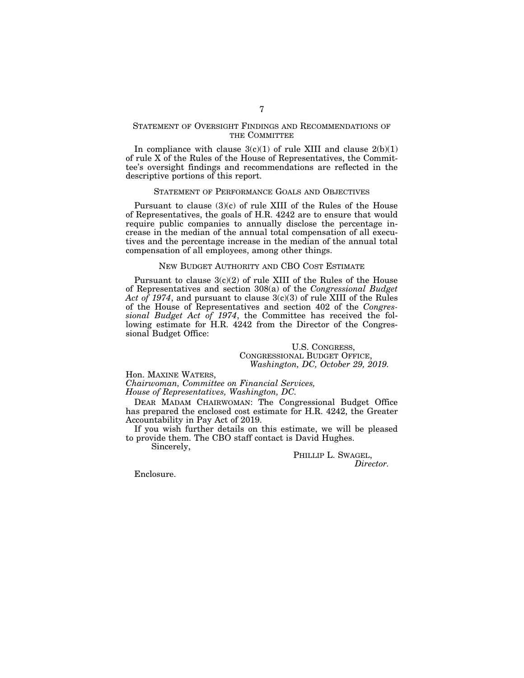# STATEMENT OF OVERSIGHT FINDINGS AND RECOMMENDATIONS OF THE COMMITTEE

In compliance with clause  $3(c)(1)$  of rule XIII and clause  $2(b)(1)$ of rule X of the Rules of the House of Representatives, the Committee's oversight findings and recommendations are reflected in the descriptive portions of this report.

# STATEMENT OF PERFORMANCE GOALS AND OBJECTIVES

Pursuant to clause (3)(c) of rule XIII of the Rules of the House of Representatives, the goals of H.R. 4242 are to ensure that would require public companies to annually disclose the percentage increase in the median of the annual total compensation of all executives and the percentage increase in the median of the annual total compensation of all employees, among other things.

### NEW BUDGET AUTHORITY AND CBO COST ESTIMATE

Pursuant to clause  $3(c)(2)$  of rule XIII of the Rules of the House of Representatives and section 308(a) of the *Congressional Budget Act of 1974*, and pursuant to clause 3(c)(3) of rule XIII of the Rules of the House of Representatives and section 402 of the *Congressional Budget Act of 1974*, the Committee has received the following estimate for H.R. 4242 from the Director of the Congressional Budget Office:

> U.S. CONGRESS, CONGRESSIONAL BUDGET OFFICE, *Washington, DC, October 29, 2019.*

Hon. MAXINE WATERS,

*Chairwoman, Committee on Financial Services, House of Representatives, Washington, DC.* 

DEAR MADAM CHAIRWOMAN: The Congressional Budget Office has prepared the enclosed cost estimate for H.R. 4242, the Greater Accountability in Pay Act of 2019.

If you wish further details on this estimate, we will be pleased to provide them. The CBO staff contact is David Hughes. Sincerely,

PHILLIP L. SWAGEL, *Director.* 

Enclosure.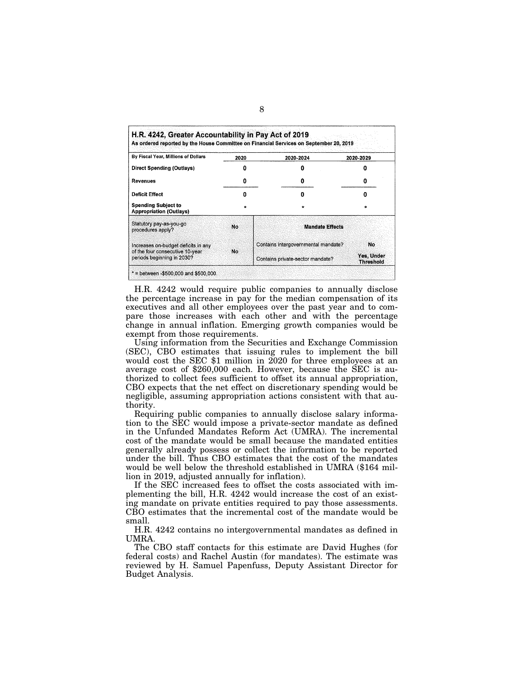| By Fiscal Year, Millions of Dollars                                    | 2020 | 2020-2024                           | 2020-2029                      |  |
|------------------------------------------------------------------------|------|-------------------------------------|--------------------------------|--|
| <b>Direct Spending (Outlays)</b>                                       |      |                                     |                                |  |
| <b>Revenues</b>                                                        | o    | n                                   |                                |  |
| <b>Deficit Effect</b>                                                  | ŋ    | Ω                                   | Ω                              |  |
| <b>Spending Subject to</b><br><b>Appropriation (Outlays)</b>           | ٠    |                                     | ÷                              |  |
| Statutory pay-as-you-go<br>procedures apply?                           | No.  | <b>Mandate Effects</b>              |                                |  |
| Increases on-budget deficits in any<br>of the four consecutive 10-year | No   | Contains intergovernmental mandate? | No                             |  |
| periods beginning in 2030?                                             |      | Contains private-sector mandate?    | Yes, Under<br><b>Threshold</b> |  |

H.R. 4242 would require public companies to annually disclose the percentage increase in pay for the median compensation of its executives and all other employees over the past year and to compare those increases with each other and with the percentage change in annual inflation. Emerging growth companies would be exempt from those requirements.

Using information from the Securities and Exchange Commission (SEC), CBO estimates that issuing rules to implement the bill would cost the SEC \$1 million in 2020 for three employees at an average cost of \$260,000 each. However, because the SEC is authorized to collect fees sufficient to offset its annual appropriation, CBO expects that the net effect on discretionary spending would be negligible, assuming appropriation actions consistent with that authority.

Requiring public companies to annually disclose salary information to the SEC would impose a private-sector mandate as defined in the Unfunded Mandates Reform Act (UMRA). The incremental cost of the mandate would be small because the mandated entities generally already possess or collect the information to be reported under the bill. Thus CBO estimates that the cost of the mandates would be well below the threshold established in UMRA (\$164 million in 2019, adjusted annually for inflation).

If the SEC increased fees to offset the costs associated with implementing the bill, H.R. 4242 would increase the cost of an existing mandate on private entities required to pay those assessments. CBO estimates that the incremental cost of the mandate would be small.

H.R. 4242 contains no intergovernmental mandates as defined in UMRA.

The CBO staff contacts for this estimate are David Hughes (for federal costs) and Rachel Austin (for mandates). The estimate was reviewed by H. Samuel Papenfuss, Deputy Assistant Director for Budget Analysis.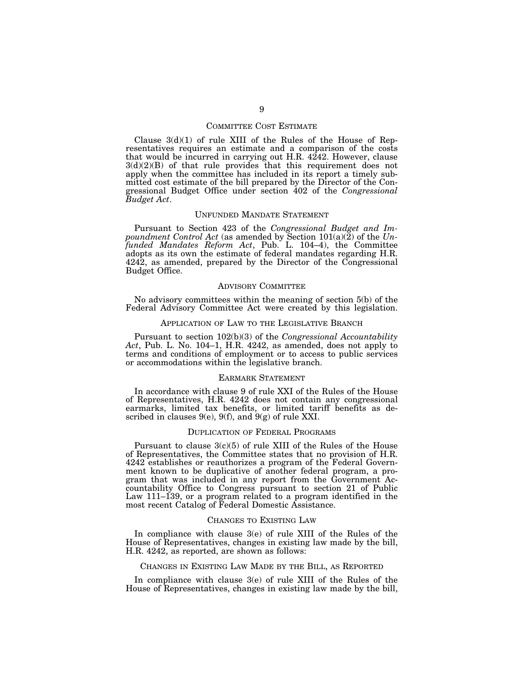# COMMITTEE COST ESTIMATE

Clause  $3(d)(1)$  of rule XIII of the Rules of the House of Representatives requires an estimate and a comparison of the costs that would be incurred in carrying out H.R. 4242. However, clause  $3(d)(2)(B)$  of that rule provides that this requirement does not apply when the committee has included in its report a timely submitted cost estimate of the bill prepared by the Director of the Congressional Budget Office under section 402 of the *Congressional Budget Act*.

# UNFUNDED MANDATE STATEMENT

Pursuant to Section 423 of the *Congressional Budget and Impoundment Control Act* (as amended by Section 101(a)(2) of the *Unfunded Mandates Reform Act*, Pub. L. 104–4), the Committee adopts as its own the estimate of federal mandates regarding H.R. 4242, as amended, prepared by the Director of the Congressional Budget Office.

### ADVISORY COMMITTEE

No advisory committees within the meaning of section 5(b) of the Federal Advisory Committee Act were created by this legislation.

# APPLICATION OF LAW TO THE LEGISLATIVE BRANCH

Pursuant to section 102(b)(3) of the *Congressional Accountability Act*, Pub. L. No. 104–1, H.R. 4242, as amended, does not apply to terms and conditions of employment or to access to public services or accommodations within the legislative branch.

# EARMARK STATEMENT

In accordance with clause 9 of rule XXI of the Rules of the House of Representatives, H.R. 4242 does not contain any congressional earmarks, limited tax benefits, or limited tariff benefits as described in clauses  $9(e)$ ,  $9(f)$ , and  $9(g)$  of rule XXI.

# DUPLICATION OF FEDERAL PROGRAMS

Pursuant to clause 3(c)(5) of rule XIII of the Rules of the House of Representatives, the Committee states that no provision of H.R. 4242 establishes or reauthorizes a program of the Federal Government known to be duplicative of another federal program, a program that was included in any report from the Government Accountability Office to Congress pursuant to section 21 of Public Law 111–139, or a program related to a program identified in the most recent Catalog of Federal Domestic Assistance.

# CHANGES TO EXISTING LAW

In compliance with clause 3(e) of rule XIII of the Rules of the House of Representatives, changes in existing law made by the bill, H.R. 4242, as reported, are shown as follows:

# CHANGES IN EXISTING LAW MADE BY THE BILL, AS REPORTED

In compliance with clause 3(e) of rule XIII of the Rules of the House of Representatives, changes in existing law made by the bill,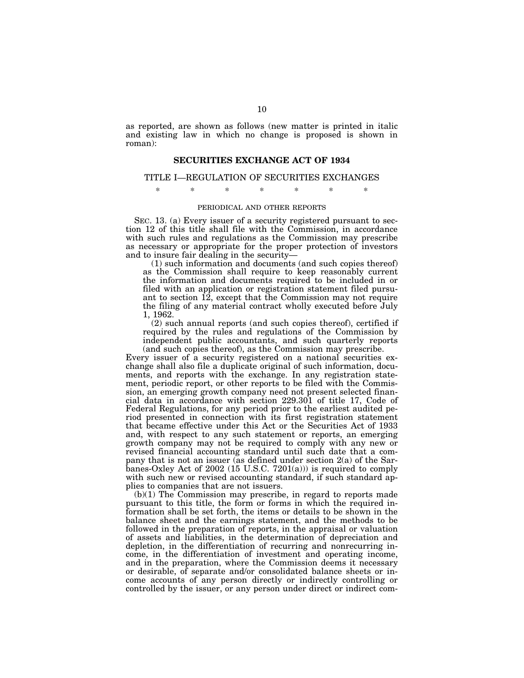as reported, are shown as follows (new matter is printed in italic and existing law in which no change is proposed is shown in roman):

# **SECURITIES EXCHANGE ACT OF 1934**

# TITLE I—REGULATION OF SECURITIES EXCHANGES

\* \* \* \* \* \* \*

# PERIODICAL AND OTHER REPORTS

SEC. 13. (a) Every issuer of a security registered pursuant to section 12 of this title shall file with the Commission, in accordance with such rules and regulations as the Commission may prescribe as necessary or appropriate for the proper protection of investors and to insure fair dealing in the security—

(1) such information and documents (and such copies thereof) as the Commission shall require to keep reasonably current the information and documents required to be included in or filed with an application or registration statement filed pursuant to section 12, except that the Commission may not require the filing of any material contract wholly executed before July 1, 1962.

(2) such annual reports (and such copies thereof), certified if required by the rules and regulations of the Commission by independent public accountants, and such quarterly reports (and such copies thereof), as the Commission may prescribe.

Every issuer of a security registered on a national securities exchange shall also file a duplicate original of such information, documents, and reports with the exchange. In any registration statement, periodic report, or other reports to be filed with the Commission, an emerging growth company need not present selected financial data in accordance with section 229.301 of title 17, Code of Federal Regulations, for any period prior to the earliest audited period presented in connection with its first registration statement that became effective under this Act or the Securities Act of 1933 and, with respect to any such statement or reports, an emerging growth company may not be required to comply with any new or revised financial accounting standard until such date that a company that is not an issuer (as defined under section 2(a) of the Sarbanes-Oxley Act of 2002 (15 U.S.C. 7201(a))) is required to comply with such new or revised accounting standard, if such standard applies to companies that are not issuers.

(b)(1) The Commission may prescribe, in regard to reports made pursuant to this title, the form or forms in which the required information shall be set forth, the items or details to be shown in the balance sheet and the earnings statement, and the methods to be followed in the preparation of reports, in the appraisal or valuation of assets and liabilities, in the determination of depreciation and depletion, in the differentiation of recurring and nonrecurring income, in the differentiation of investment and operating income, and in the preparation, where the Commission deems it necessary or desirable, of separate and/or consolidated balance sheets or income accounts of any person directly or indirectly controlling or controlled by the issuer, or any person under direct or indirect com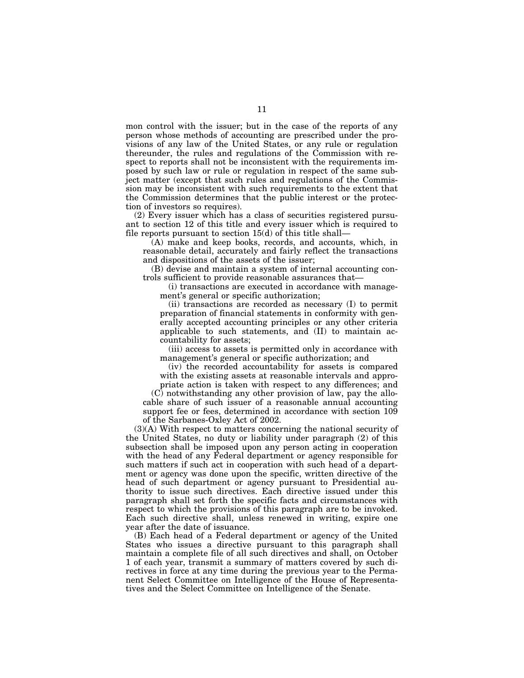mon control with the issuer; but in the case of the reports of any person whose methods of accounting are prescribed under the provisions of any law of the United States, or any rule or regulation thereunder, the rules and regulations of the Commission with respect to reports shall not be inconsistent with the requirements imposed by such law or rule or regulation in respect of the same subject matter (except that such rules and regulations of the Commission may be inconsistent with such requirements to the extent that the Commission determines that the public interest or the protection of investors so requires).

(2) Every issuer which has a class of securities registered pursuant to section 12 of this title and every issuer which is required to file reports pursuant to section 15(d) of this title shall—

(A) make and keep books, records, and accounts, which, in reasonable detail, accurately and fairly reflect the transactions and dispositions of the assets of the issuer;

(B) devise and maintain a system of internal accounting controls sufficient to provide reasonable assurances that—

(i) transactions are executed in accordance with management's general or specific authorization;

(ii) transactions are recorded as necessary (I) to permit preparation of financial statements in conformity with generally accepted accounting principles or any other criteria applicable to such statements, and (II) to maintain accountability for assets;

(iii) access to assets is permitted only in accordance with management's general or specific authorization; and

(iv) the recorded accountability for assets is compared with the existing assets at reasonable intervals and appropriate action is taken with respect to any differences; and

 $(C)$  notwithstanding any other provision of law, pay the allocable share of such issuer of a reasonable annual accounting support fee or fees, determined in accordance with section 109 of the Sarbanes-Oxley Act of 2002.

(3)(A) With respect to matters concerning the national security of the United States, no duty or liability under paragraph (2) of this subsection shall be imposed upon any person acting in cooperation with the head of any Federal department or agency responsible for such matters if such act in cooperation with such head of a department or agency was done upon the specific, written directive of the head of such department or agency pursuant to Presidential authority to issue such directives. Each directive issued under this paragraph shall set forth the specific facts and circumstances with respect to which the provisions of this paragraph are to be invoked. Each such directive shall, unless renewed in writing, expire one year after the date of issuance.

(B) Each head of a Federal department or agency of the United States who issues a directive pursuant to this paragraph shall maintain a complete file of all such directives and shall, on October 1 of each year, transmit a summary of matters covered by such directives in force at any time during the previous year to the Permanent Select Committee on Intelligence of the House of Representatives and the Select Committee on Intelligence of the Senate.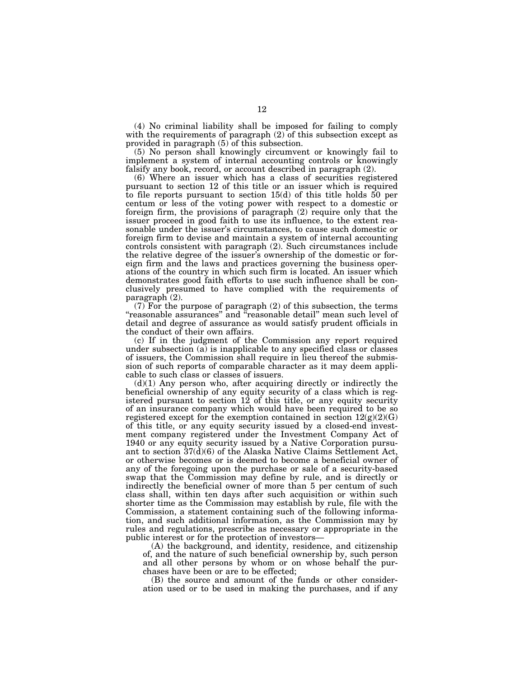(4) No criminal liability shall be imposed for failing to comply with the requirements of paragraph  $(2)$  of this subsection except as provided in paragraph (5) of this subsection.

(5) No person shall knowingly circumvent or knowingly fail to implement a system of internal accounting controls or knowingly falsify any book, record, or account described in paragraph (2).

(6) Where an issuer which has a class of securities registered pursuant to section 12 of this title or an issuer which is required to file reports pursuant to section 15(d) of this title holds 50 per centum or less of the voting power with respect to a domestic or foreign firm, the provisions of paragraph (2) require only that the issuer proceed in good faith to use its influence, to the extent reasonable under the issuer's circumstances, to cause such domestic or foreign firm to devise and maintain a system of internal accounting controls consistent with paragraph (2). Such circumstances include the relative degree of the issuer's ownership of the domestic or foreign firm and the laws and practices governing the business operations of the country in which such firm is located. An issuer which demonstrates good faith efforts to use such influence shall be conclusively presumed to have complied with the requirements of paragraph (2).

(7) For the purpose of paragraph (2) of this subsection, the terms "reasonable assurances" and "reasonable detail" mean such level of detail and degree of assurance as would satisfy prudent officials in the conduct of their own affairs.

(c) If in the judgment of the Commission any report required under subsection (a) is inapplicable to any specified class or classes of issuers, the Commission shall require in lieu thereof the submission of such reports of comparable character as it may deem applicable to such class or classes of issuers.

 $(d)(1)$  Any person who, after acquiring directly or indirectly the beneficial ownership of any equity security of a class which is registered pursuant to section  $12$  of this title, or any equity security of an insurance company which would have been required to be so registered except for the exemption contained in section  $12(g)(2)(G)$ of this title, or any equity security issued by a closed-end investment company registered under the Investment Company Act of 1940 or any equity security issued by a Native Corporation pursuant to section 37(d)(6) of the Alaska Native Claims Settlement Act, or otherwise becomes or is deemed to become a beneficial owner of any of the foregoing upon the purchase or sale of a security-based swap that the Commission may define by rule, and is directly or indirectly the beneficial owner of more than 5 per centum of such class shall, within ten days after such acquisition or within such shorter time as the Commission may establish by rule, file with the Commission, a statement containing such of the following information, and such additional information, as the Commission may by rules and regulations, prescribe as necessary or appropriate in the public interest or for the protection of investors—

(A) the background, and identity, residence, and citizenship of, and the nature of such beneficial ownership by, such person and all other persons by whom or on whose behalf the purchases have been or are to be effected;

(B) the source and amount of the funds or other consideration used or to be used in making the purchases, and if any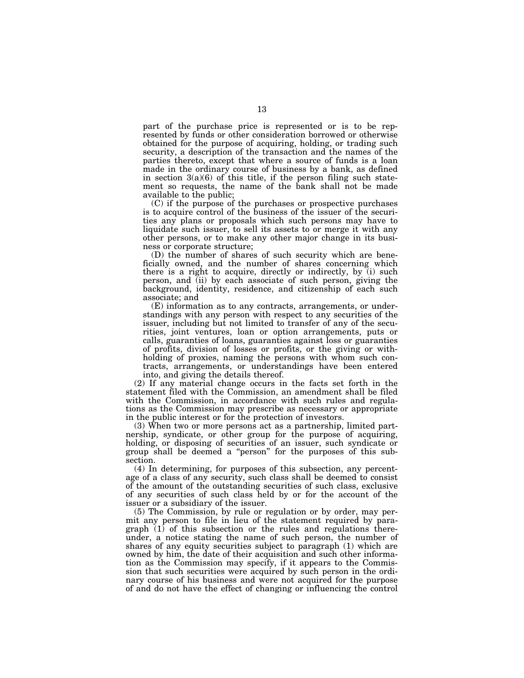part of the purchase price is represented or is to be represented by funds or other consideration borrowed or otherwise obtained for the purpose of acquiring, holding, or trading such security, a description of the transaction and the names of the parties thereto, except that where a source of funds is a loan made in the ordinary course of business by a bank, as defined in section  $3(a)(6)$  of this title, if the person filing such statement so requests, the name of the bank shall not be made available to the public;

(C) if the purpose of the purchases or prospective purchases is to acquire control of the business of the issuer of the securities any plans or proposals which such persons may have to liquidate such issuer, to sell its assets to or merge it with any other persons, or to make any other major change in its business or corporate structure;

(D) the number of shares of such security which are beneficially owned, and the number of shares concerning which there is a right to acquire, directly or indirectly, by (i) such person, and (ii) by each associate of such person, giving the background, identity, residence, and citizenship of each such associate; and

(E) information as to any contracts, arrangements, or understandings with any person with respect to any securities of the issuer, including but not limited to transfer of any of the securities, joint ventures, loan or option arrangements, puts or calls, guaranties of loans, guaranties against loss or guaranties of profits, division of losses or profits, or the giving or withholding of proxies, naming the persons with whom such contracts, arrangements, or understandings have been entered into, and giving the details thereof.

(2) If any material change occurs in the facts set forth in the statement filed with the Commission, an amendment shall be filed with the Commission, in accordance with such rules and regulations as the Commission may prescribe as necessary or appropriate in the public interest or for the protection of investors.

(3) When two or more persons act as a partnership, limited partnership, syndicate, or other group for the purpose of acquiring, holding, or disposing of securities of an issuer, such syndicate or group shall be deemed a ''person'' for the purposes of this subsection.

(4) In determining, for purposes of this subsection, any percentage of a class of any security, such class shall be deemed to consist of the amount of the outstanding securities of such class, exclusive of any securities of such class held by or for the account of the issuer or a subsidiary of the issuer.

(5) The Commission, by rule or regulation or by order, may permit any person to file in lieu of the statement required by paragraph (1) of this subsection or the rules and regulations thereunder, a notice stating the name of such person, the number of shares of any equity securities subject to paragraph (1) which are owned by him, the date of their acquisition and such other information as the Commission may specify, if it appears to the Commission that such securities were acquired by such person in the ordinary course of his business and were not acquired for the purpose of and do not have the effect of changing or influencing the control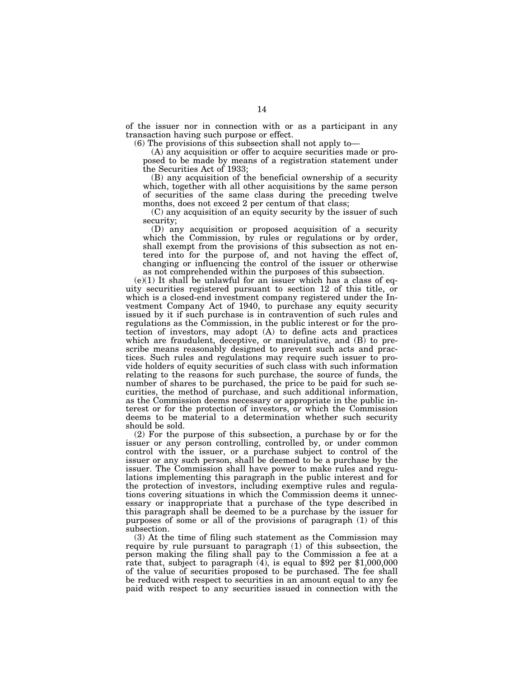of the issuer nor in connection with or as a participant in any transaction having such purpose or effect.

(6) The provisions of this subsection shall not apply to—

(A) any acquisition or offer to acquire securities made or proposed to be made by means of a registration statement under the Securities Act of 1933;

(B) any acquisition of the beneficial ownership of a security which, together with all other acquisitions by the same person of securities of the same class during the preceding twelve months, does not exceed 2 per centum of that class;

(C) any acquisition of an equity security by the issuer of such security;

(D) any acquisition or proposed acquisition of a security which the Commission, by rules or regulations or by order, shall exempt from the provisions of this subsection as not entered into for the purpose of, and not having the effect of, changing or influencing the control of the issuer or otherwise as not comprehended within the purposes of this subsection.

 $(e)(1)$  It shall be unlawful for an issuer which has a class of equity securities registered pursuant to section 12 of this title, or which is a closed-end investment company registered under the Investment Company Act of 1940, to purchase any equity security issued by it if such purchase is in contravention of such rules and regulations as the Commission, in the public interest or for the protection of investors, may adopt (A) to define acts and practices which are fraudulent, deceptive, or manipulative, and (B) to prescribe means reasonably designed to prevent such acts and practices. Such rules and regulations may require such issuer to provide holders of equity securities of such class with such information relating to the reasons for such purchase, the source of funds, the number of shares to be purchased, the price to be paid for such securities, the method of purchase, and such additional information, as the Commission deems necessary or appropriate in the public interest or for the protection of investors, or which the Commission deems to be material to a determination whether such security should be sold.

(2) For the purpose of this subsection, a purchase by or for the issuer or any person controlling, controlled by, or under common control with the issuer, or a purchase subject to control of the issuer or any such person, shall be deemed to be a purchase by the issuer. The Commission shall have power to make rules and regulations implementing this paragraph in the public interest and for the protection of investors, including exemptive rules and regulations covering situations in which the Commission deems it unnecessary or inappropriate that a purchase of the type described in this paragraph shall be deemed to be a purchase by the issuer for purposes of some or all of the provisions of paragraph (1) of this subsection.

(3) At the time of filing such statement as the Commission may require by rule pursuant to paragraph (1) of this subsection, the person making the filing shall pay to the Commission a fee at a rate that, subject to paragraph  $(4)$ , is equal to \$92 per \$1,000,000 of the value of securities proposed to be purchased. The fee shall be reduced with respect to securities in an amount equal to any fee paid with respect to any securities issued in connection with the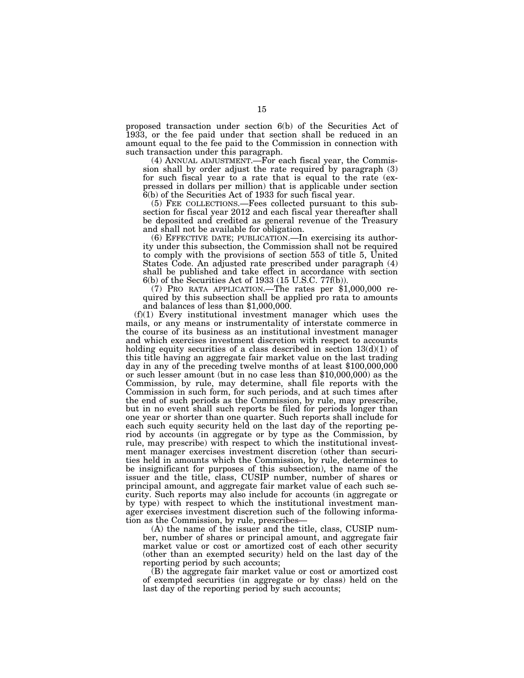proposed transaction under section 6(b) of the Securities Act of 1933, or the fee paid under that section shall be reduced in an amount equal to the fee paid to the Commission in connection with such transaction under this paragraph.

(4) ANNUAL ADJUSTMENT.—For each fiscal year, the Commission shall by order adjust the rate required by paragraph (3) for such fiscal year to a rate that is equal to the rate (expressed in dollars per million) that is applicable under section 6(b) of the Securities Act of 1933 for such fiscal year.

(5) FEE COLLECTIONS.—Fees collected pursuant to this subsection for fiscal year 2012 and each fiscal year thereafter shall be deposited and credited as general revenue of the Treasury and shall not be available for obligation.

(6) EFFECTIVE DATE; PUBLICATION.—In exercising its authority under this subsection, the Commission shall not be required to comply with the provisions of section 553 of title 5, United States Code. An adjusted rate prescribed under paragraph (4) shall be published and take effect in accordance with section 6(b) of the Securities Act of 1933 (15 U.S.C. 77f(b)).

(7) PRO RATA APPLICATION.—The rates per \$1,000,000 required by this subsection shall be applied pro rata to amounts and balances of less than \$1,000,000.

(f)(1) Every institutional investment manager which uses the mails, or any means or instrumentality of interstate commerce in the course of its business as an institutional investment manager and which exercises investment discretion with respect to accounts holding equity securities of a class described in section  $13(d)(1)$  of this title having an aggregate fair market value on the last trading day in any of the preceding twelve months of at least \$100,000,000 or such lesser amount (but in no case less than \$10,000,000) as the Commission, by rule, may determine, shall file reports with the Commission in such form, for such periods, and at such times after the end of such periods as the Commission, by rule, may prescribe, but in no event shall such reports be filed for periods longer than one year or shorter than one quarter. Such reports shall include for each such equity security held on the last day of the reporting period by accounts (in aggregate or by type as the Commission, by rule, may prescribe) with respect to which the institutional investment manager exercises investment discretion (other than securities held in amounts which the Commission, by rule, determines to be insignificant for purposes of this subsection), the name of the issuer and the title, class, CUSIP number, number of shares or principal amount, and aggregate fair market value of each such security. Such reports may also include for accounts (in aggregate or by type) with respect to which the institutional investment manager exercises investment discretion such of the following information as the Commission, by rule, prescribes—

(A) the name of the issuer and the title, class, CUSIP number, number of shares or principal amount, and aggregate fair market value or cost or amortized cost of each other security (other than an exempted security) held on the last day of the reporting period by such accounts;

(B) the aggregate fair market value or cost or amortized cost of exempted securities (in aggregate or by class) held on the last day of the reporting period by such accounts;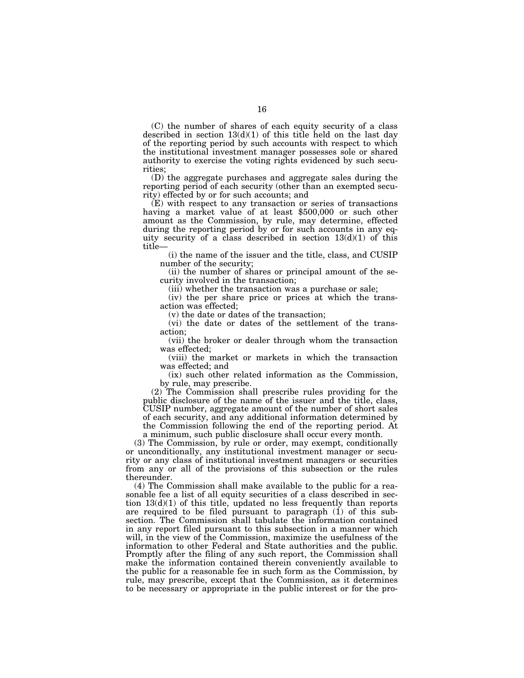(C) the number of shares of each equity security of a class described in section 13(d)(1) of this title held on the last day of the reporting period by such accounts with respect to which the institutional investment manager possesses sole or shared authority to exercise the voting rights evidenced by such securities;

(D) the aggregate purchases and aggregate sales during the reporting period of each security (other than an exempted secu-

rity) effected by or for such accounts; and<br>(E) with respect to any transaction or series of transactions having a market value of at least \$500,000 or such other amount as the Commission, by rule, may determine, effected during the reporting period by or for such accounts in any equity security of a class described in section  $13(d)(1)$  of this title—

(i) the name of the issuer and the title, class, and CUSIP number of the security;

(ii) the number of shares or principal amount of the security involved in the transaction;

(iii) whether the transaction was a purchase or sale;

(iv) the per share price or prices at which the transaction was effected;

(v) the date or dates of the transaction;

(vi) the date or dates of the settlement of the transaction;

(vii) the broker or dealer through whom the transaction was effected;

(viii) the market or markets in which the transaction was effected; and

(ix) such other related information as the Commission, by rule, may prescribe.

(2) The Commission shall prescribe rules providing for the public disclosure of the name of the issuer and the title, class, CUSIP number, aggregate amount of the number of short sales of each security, and any additional information determined by the Commission following the end of the reporting period. At a minimum, such public disclosure shall occur every month.

(3) The Commission, by rule or order, may exempt, conditionally or unconditionally, any institutional investment manager or security or any class of institutional investment managers or securities from any or all of the provisions of this subsection or the rules thereunder.

(4) The Commission shall make available to the public for a reasonable fee a list of all equity securities of a class described in section 13(d)(1) of this title, updated no less frequently than reports are required to be filed pursuant to paragraph (1) of this subsection. The Commission shall tabulate the information contained in any report filed pursuant to this subsection in a manner which will, in the view of the Commission, maximize the usefulness of the information to other Federal and State authorities and the public. Promptly after the filing of any such report, the Commission shall make the information contained therein conveniently available to the public for a reasonable fee in such form as the Commission, by rule, may prescribe, except that the Commission, as it determines to be necessary or appropriate in the public interest or for the pro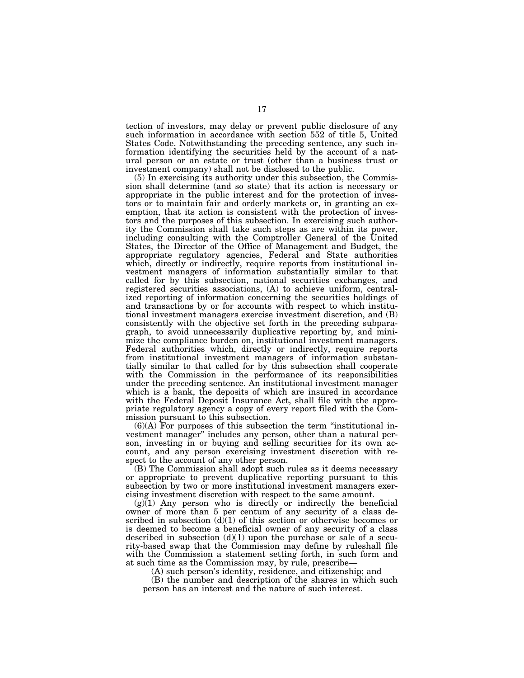tection of investors, may delay or prevent public disclosure of any such information in accordance with section 552 of title 5, United States Code. Notwithstanding the preceding sentence, any such information identifying the securities held by the account of a natural person or an estate or trust (other than a business trust or investment company) shall not be disclosed to the public.

(5) In exercising its authority under this subsection, the Commission shall determine (and so state) that its action is necessary or appropriate in the public interest and for the protection of investors or to maintain fair and orderly markets or, in granting an exemption, that its action is consistent with the protection of investors and the purposes of this subsection. In exercising such authority the Commission shall take such steps as are within its power, including consulting with the Comptroller General of the United States, the Director of the Office of Management and Budget, the appropriate regulatory agencies, Federal and State authorities which, directly or indirectly, require reports from institutional investment managers of information substantially similar to that called for by this subsection, national securities exchanges, and registered securities associations, (A) to achieve uniform, centralized reporting of information concerning the securities holdings of and transactions by or for accounts with respect to which institutional investment managers exercise investment discretion, and (B) consistently with the objective set forth in the preceding subparagraph, to avoid unnecessarily duplicative reporting by, and minimize the compliance burden on, institutional investment managers. Federal authorities which, directly or indirectly, require reports from institutional investment managers of information substantially similar to that called for by this subsection shall cooperate with the Commission in the performance of its responsibilities under the preceding sentence. An institutional investment manager which is a bank, the deposits of which are insured in accordance with the Federal Deposit Insurance Act, shall file with the appropriate regulatory agency a copy of every report filed with the Commission pursuant to this subsection.

 $(6)(A)$  For purposes of this subsection the term "institutional investment manager'' includes any person, other than a natural person, investing in or buying and selling securities for its own account, and any person exercising investment discretion with respect to the account of any other person.

(B) The Commission shall adopt such rules as it deems necessary or appropriate to prevent duplicative reporting pursuant to this subsection by two or more institutional investment managers exercising investment discretion with respect to the same amount.

 $(g)(1)$  Any person who is directly or indirectly the beneficial owner of more than 5 per centum of any security of a class described in subsection  $(d)(1)$  of this section or otherwise becomes or is deemed to become a beneficial owner of any security of a class described in subsection  $(d)(1)$  upon the purchase or sale of a security-based swap that the Commission may define by ruleshall file with the Commission a statement setting forth, in such form and at such time as the Commission may, by rule, prescribe—

(A) such person's identity, residence, and citizenship; and

(B) the number and description of the shares in which such person has an interest and the nature of such interest.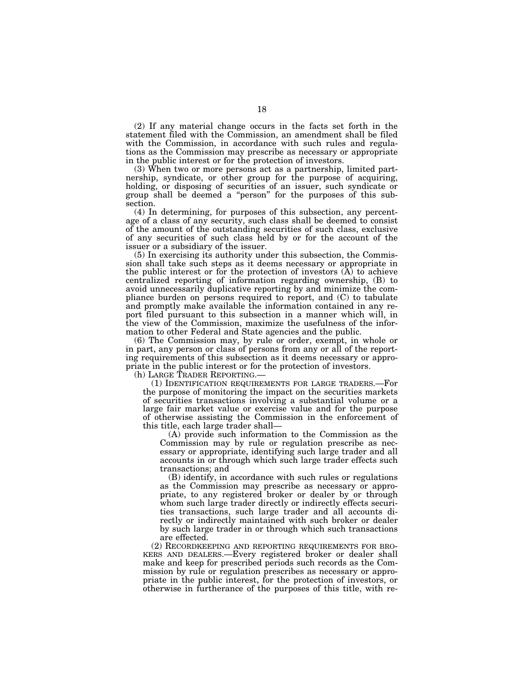(2) If any material change occurs in the facts set forth in the statement filed with the Commission, an amendment shall be filed with the Commission, in accordance with such rules and regulations as the Commission may prescribe as necessary or appropriate in the public interest or for the protection of investors.

(3) When two or more persons act as a partnership, limited partnership, syndicate, or other group for the purpose of acquiring, holding, or disposing of securities of an issuer, such syndicate or group shall be deemed a ''person'' for the purposes of this subsection.

(4) In determining, for purposes of this subsection, any percentage of a class of any security, such class shall be deemed to consist of the amount of the outstanding securities of such class, exclusive of any securities of such class held by or for the account of the issuer or a subsidiary of the issuer.

(5) In exercising its authority under this subsection, the Commission shall take such steps as it deems necessary or appropriate in the public interest or for the protection of investors  $(\overline{A})$  to achieve centralized reporting of information regarding ownership, (B) to avoid unnecessarily duplicative reporting by and minimize the compliance burden on persons required to report, and (C) to tabulate and promptly make available the information contained in any report filed pursuant to this subsection in a manner which will, in the view of the Commission, maximize the usefulness of the information to other Federal and State agencies and the public.

(6) The Commission may, by rule or order, exempt, in whole or in part, any person or class of persons from any or all of the reporting requirements of this subsection as it deems necessary or appropriate in the public interest or for the protection of investors.

(h) LARGE TRADER REPORTING.—

(1) IDENTIFICATION REQUIREMENTS FOR LARGE TRADERS.—For the purpose of monitoring the impact on the securities markets of securities transactions involving a substantial volume or a large fair market value or exercise value and for the purpose of otherwise assisting the Commission in the enforcement of this title, each large trader shall—

(A) provide such information to the Commission as the Commission may by rule or regulation prescribe as necessary or appropriate, identifying such large trader and all accounts in or through which such large trader effects such transactions; and

(B) identify, in accordance with such rules or regulations as the Commission may prescribe as necessary or appropriate, to any registered broker or dealer by or through whom such large trader directly or indirectly effects securities transactions, such large trader and all accounts directly or indirectly maintained with such broker or dealer by such large trader in or through which such transactions are effected.

(2) RECORDKEEPING AND REPORTING REQUIREMENTS FOR BRO-<br>KERS AND DEALERS.—Every registered broker or dealer shall make and keep for prescribed periods such records as the Commission by rule or regulation prescribes as necessary or appropriate in the public interest, for the protection of investors, or otherwise in furtherance of the purposes of this title, with re-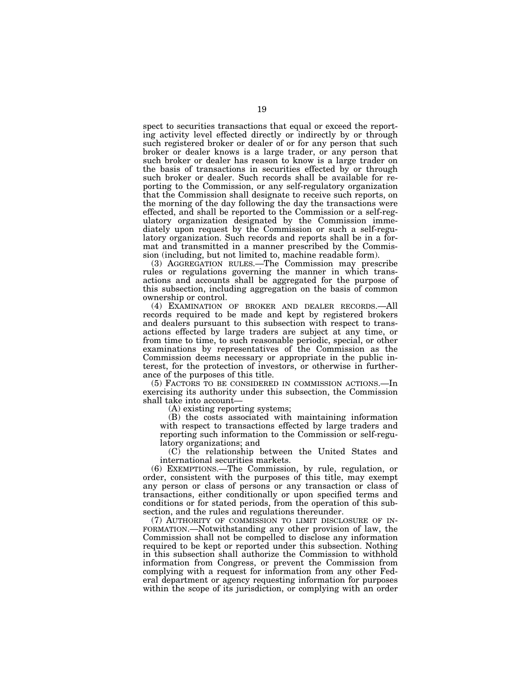spect to securities transactions that equal or exceed the reporting activity level effected directly or indirectly by or through such registered broker or dealer of or for any person that such broker or dealer knows is a large trader, or any person that such broker or dealer has reason to know is a large trader on the basis of transactions in securities effected by or through such broker or dealer. Such records shall be available for reporting to the Commission, or any self-regulatory organization that the Commission shall designate to receive such reports, on the morning of the day following the day the transactions were effected, and shall be reported to the Commission or a self-regulatory organization designated by the Commission immediately upon request by the Commission or such a self-regulatory organization. Such records and reports shall be in a format and transmitted in a manner prescribed by the Commission (including, but not limited to, machine readable form).

(3) AGGREGATION RULES.—The Commission may prescribe rules or regulations governing the manner in which transactions and accounts shall be aggregated for the purpose of this subsection, including aggregation on the basis of common ownership or control.

(4) EXAMINATION OF BROKER AND DEALER RECORDS.—All records required to be made and kept by registered brokers and dealers pursuant to this subsection with respect to transactions effected by large traders are subject at any time, or from time to time, to such reasonable periodic, special, or other examinations by representatives of the Commission as the Commission deems necessary or appropriate in the public interest, for the protection of investors, or otherwise in furtherance of the purposes of this title.

(5) FACTORS TO BE CONSIDERED IN COMMISSION ACTIONS.—In exercising its authority under this subsection, the Commission shall take into account—

(A) existing reporting systems;

(B) the costs associated with maintaining information with respect to transactions effected by large traders and reporting such information to the Commission or self-regulatory organizations; and

(C) the relationship between the United States and international securities markets.

(6) EXEMPTIONS.—The Commission, by rule, regulation, or order, consistent with the purposes of this title, may exempt any person or class of persons or any transaction or class of transactions, either conditionally or upon specified terms and conditions or for stated periods, from the operation of this sub-

section, and the rules and regulations thereunder.<br>(7) AUTHORITY OF COMMISSION TO LIMIT DISCLOSURE OF IN-FORMATION.—Notwithstanding any other provision of law, the Commission shall not be compelled to disclose any information required to be kept or reported under this subsection. Nothing in this subsection shall authorize the Commission to withhold information from Congress, or prevent the Commission from complying with a request for information from any other Federal department or agency requesting information for purposes within the scope of its jurisdiction, or complying with an order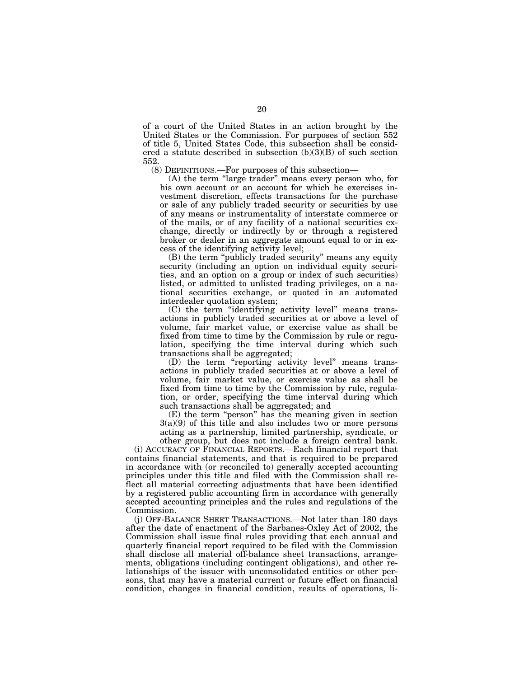of a court of the United States in an action brought by the United States or the Commission. For purposes of section 552 of title 5, United States Code, this subsection shall be considered a statute described in subsection (b)(3)(B) of such section 552.

(8) DEFINITIONS.—For purposes of this subsection—

(A) the term ''large trader'' means every person who, for his own account or an account for which he exercises investment discretion, effects transactions for the purchase or sale of any publicly traded security or securities by use of any means or instrumentality of interstate commerce or of the mails, or of any facility of a national securities exchange, directly or indirectly by or through a registered broker or dealer in an aggregate amount equal to or in excess of the identifying activity level;

(B) the term ''publicly traded security'' means any equity security (including an option on individual equity securities, and an option on a group or index of such securities) listed, or admitted to unlisted trading privileges, on a national securities exchange, or quoted in an automated interdealer quotation system;

(C) the term ''identifying activity level'' means transactions in publicly traded securities at or above a level of volume, fair market value, or exercise value as shall be fixed from time to time by the Commission by rule or regulation, specifying the time interval during which such transactions shall be aggregated;

(D) the term ''reporting activity level'' means transactions in publicly traded securities at or above a level of volume, fair market value, or exercise value as shall be fixed from time to time by the Commission by rule, regulation, or order, specifying the time interval during which such transactions shall be aggregated; and

(E) the term ''person'' has the meaning given in section 3(a)(9) of this title and also includes two or more persons acting as a partnership, limited partnership, syndicate, or other group, but does not include a foreign central bank.

(i) ACCURACY OF FINANCIAL REPORTS.—Each financial report that contains financial statements, and that is required to be prepared in accordance with (or reconciled to) generally accepted accounting principles under this title and filed with the Commission shall reflect all material correcting adjustments that have been identified by a registered public accounting firm in accordance with generally accepted accounting principles and the rules and regulations of the Commission.

(j) OFF-BALANCE SHEET TRANSACTIONS.—Not later than 180 days after the date of enactment of the Sarbanes-Oxley Act of 2002, the Commission shall issue final rules providing that each annual and quarterly financial report required to be filed with the Commission shall disclose all material off-balance sheet transactions, arrangements, obligations (including contingent obligations), and other relationships of the issuer with unconsolidated entities or other persons, that may have a material current or future effect on financial condition, changes in financial condition, results of operations, li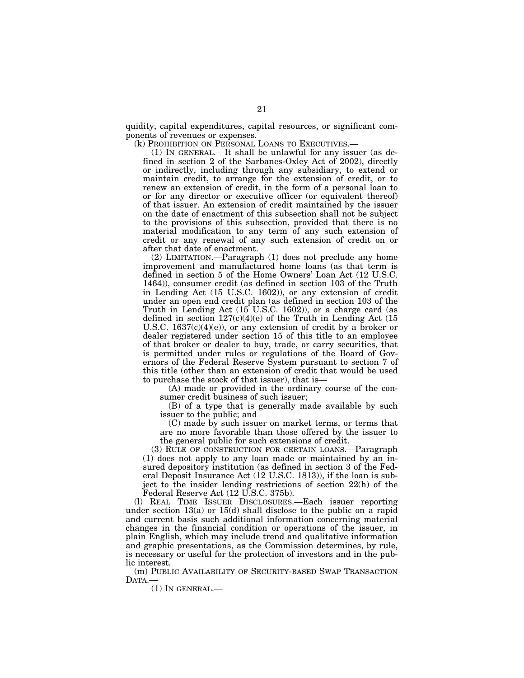quidity, capital expenditures, capital resources, or significant components of revenues or expenses.

(k) PROHIBITION ON PERSONAL LOANS TO EXECUTIVES.—

(1) IN GENERAL.—It shall be unlawful for any issuer (as defined in section 2 of the Sarbanes-Oxley Act of 2002), directly or indirectly, including through any subsidiary, to extend or maintain credit, to arrange for the extension of credit, or to renew an extension of credit, in the form of a personal loan to or for any director or executive officer (or equivalent thereof) of that issuer. An extension of credit maintained by the issuer on the date of enactment of this subsection shall not be subject to the provisions of this subsection, provided that there is no material modification to any term of any such extension of credit or any renewal of any such extension of credit on or after that date of enactment.

(2) LIMITATION.—Paragraph (1) does not preclude any home improvement and manufactured home loans (as that term is defined in section 5 of the Home Owners' Loan Act (12 U.S.C. 1464)), consumer credit (as defined in section 103 of the Truth in Lending Act (15 U.S.C. 1602)), or any extension of credit under an open end credit plan (as defined in section 103 of the Truth in Lending Act  $(15$  U.S.C. 1602)), or a charge card (as defined in section  $127(c)(4)(e)$  of the Truth in Lending Act (15) U.S.C.  $1637(c)(4)(e)$ , or any extension of credit by a broker or dealer registered under section 15 of this title to an employee of that broker or dealer to buy, trade, or carry securities, that is permitted under rules or regulations of the Board of Governors of the Federal Reserve System pursuant to section 7 of this title (other than an extension of credit that would be used to purchase the stock of that issuer), that is—

(A) made or provided in the ordinary course of the consumer credit business of such issuer;

(B) of a type that is generally made available by such issuer to the public; and

(C) made by such issuer on market terms, or terms that are no more favorable than those offered by the issuer to the general public for such extensions of credit.

(3) RULE OF CONSTRUCTION FOR CERTAIN LOANS.—Paragraph (1) does not apply to any loan made or maintained by an insured depository institution (as defined in section 3 of the Federal Deposit Insurance Act (12 U.S.C. 1813)), if the loan is subject to the insider lending restrictions of section 22(h) of the Federal Reserve Act (12 U.S.C. 375b).

(l) REAL TIME ISSUER DISCLOSURES.—Each issuer reporting under section 13(a) or 15(d) shall disclose to the public on a rapid and current basis such additional information concerning material changes in the financial condition or operations of the issuer, in plain English, which may include trend and qualitative information and graphic presentations, as the Commission determines, by rule, is necessary or useful for the protection of investors and in the public interest.

(m) PUBLIC AVAILABILITY OF SECURITY-BASED SWAP TRANSACTION DATA.—

(1) IN GENERAL.—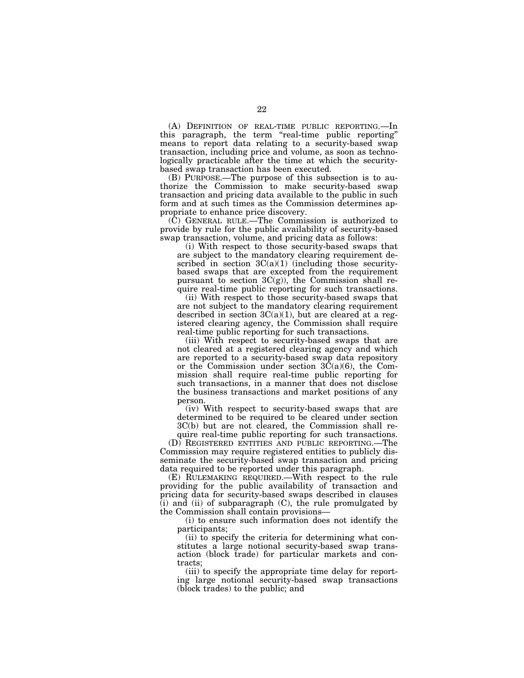(A) DEFINITION OF REAL-TIME PUBLIC REPORTING.—In this paragraph, the term ''real-time public reporting'' means to report data relating to a security-based swap transaction, including price and volume, as soon as technologically practicable after the time at which the securitybased swap transaction has been executed.

(B) PURPOSE.—The purpose of this subsection is to authorize the Commission to make security-based swap transaction and pricing data available to the public in such form and at such times as the Commission determines appropriate to enhance price discovery.

(C) GENERAL RULE.—The Commission is authorized to provide by rule for the public availability of security-based swap transaction, volume, and pricing data as follows:

(i) With respect to those security-based swaps that are subject to the mandatory clearing requirement described in section  $3C(a)(1)$  (including those securitybased swaps that are excepted from the requirement pursuant to section  $3C(g)$ , the Commission shall require real-time public reporting for such transactions.

(ii) With respect to those security-based swaps that are not subject to the mandatory clearing requirement described in section  $3C(a)(1)$ , but are cleared at a registered clearing agency, the Commission shall require real-time public reporting for such transactions.

(iii) With respect to security-based swaps that are not cleared at a registered clearing agency and which are reported to a security-based swap data repository or the Commission under section  $3\hat{C}(\alpha)(6)$ , the Commission shall require real-time public reporting for such transactions, in a manner that does not disclose the business transactions and market positions of any person.

(iv) With respect to security-based swaps that are determined to be required to be cleared under section 3C(b) but are not cleared, the Commission shall re-

quire real-time public reporting for such transactions. (D) REGISTERED ENTITIES AND PUBLIC REPORTING.—The Commission may require registered entities to publicly disseminate the security-based swap transaction and pricing data required to be reported under this paragraph.

(E) RULEMAKING REQUIRED.—With respect to the rule providing for the public availability of transaction and pricing data for security-based swaps described in clauses (i) and (ii) of subparagraph (C), the rule promulgated by the Commission shall contain provisions—

(i) to ensure such information does not identify the participants;

(ii) to specify the criteria for determining what constitutes a large notional security-based swap transaction (block trade) for particular markets and contracts;

(iii) to specify the appropriate time delay for reporting large notional security-based swap transactions (block trades) to the public; and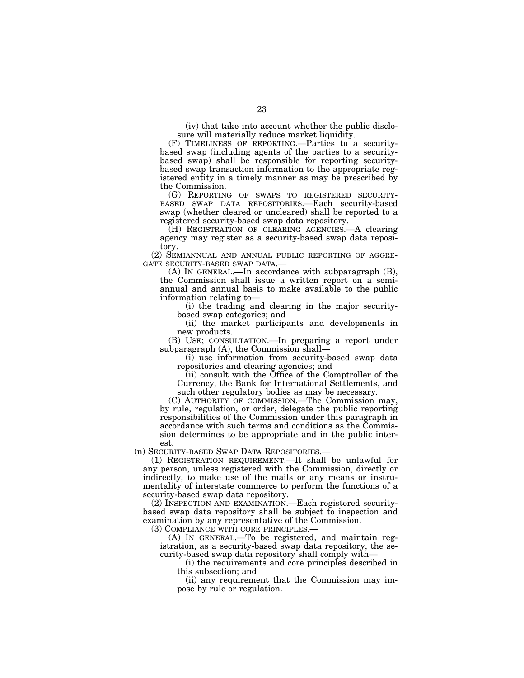(iv) that take into account whether the public disclosure will materially reduce market liquidity.

(F) TIMELINESS OF REPORTING.—Parties to a securitybased swap (including agents of the parties to a securitybased swap) shall be responsible for reporting securitybased swap transaction information to the appropriate registered entity in a timely manner as may be prescribed by the Commission.

(G) REPORTING OF SWAPS TO REGISTERED SECURITY- BASED SWAP DATA REPOSITORIES.—Each security-based swap (whether cleared or uncleared) shall be reported to a registered security-based swap data repository.

(H) REGISTRATION OF CLEARING AGENCIES.—A clearing agency may register as a security-based swap data repository.

(2) SEMIANNUAL AND ANNUAL PUBLIC REPORTING OF AGGRE-GATE SECURITY-BASED SWAP DATA.—

(A) IN GENERAL.—In accordance with subparagraph (B), the Commission shall issue a written report on a semiannual and annual basis to make available to the public information relating to—

(i) the trading and clearing in the major securitybased swap categories; and

(ii) the market participants and developments in new products.

(B) USE; CONSULTATION.—In preparing a report under subparagraph (A), the Commission shall—

(i) use information from security-based swap data repositories and clearing agencies; and

(ii) consult with the Office of the Comptroller of the Currency, the Bank for International Settlements, and such other regulatory bodies as may be necessary.

(C) AUTHORITY OF COMMISSION.—The Commission may, by rule, regulation, or order, delegate the public reporting responsibilities of the Commission under this paragraph in accordance with such terms and conditions as the Commission determines to be appropriate and in the public inter-

est.<br>(n) SECURITY-BASED SWAP DATA REPOSITORIES.-

(1) REGISTRATION REQUIREMENT.—It shall be unlawful for any person, unless registered with the Commission, directly or indirectly, to make use of the mails or any means or instrumentality of interstate commerce to perform the functions of a security-based swap data repository.

(2) INSPECTION AND EXAMINATION.—Each registered securitybased swap data repository shall be subject to inspection and examination by any representative of the Commission.

(3) COMPLIANCE WITH CORE PRINCIPLES.—

(A) IN GENERAL.—To be registered, and maintain registration, as a security-based swap data repository, the security-based swap data repository shall comply with—

(i) the requirements and core principles described in this subsection; and

(ii) any requirement that the Commission may impose by rule or regulation.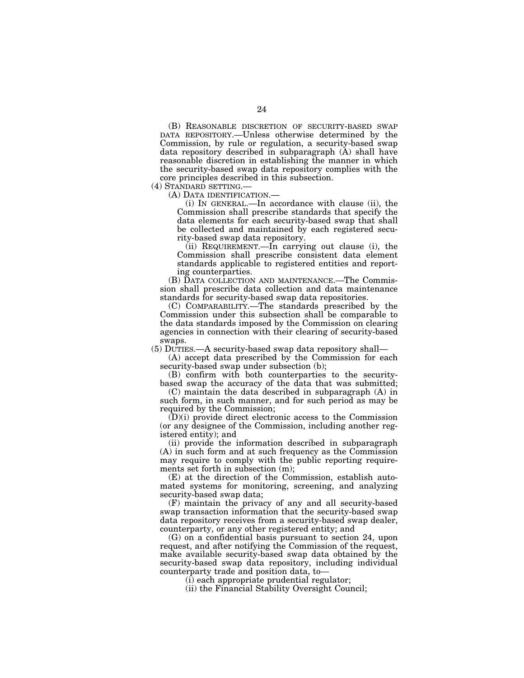(B) REASONABLE DISCRETION OF SECURITY-BASED SWAP DATA REPOSITORY.—Unless otherwise determined by the Commission, by rule or regulation, a security-based swap data repository described in subparagraph (A) shall have reasonable discretion in establishing the manner in which the security-based swap data repository complies with the core principles described in this subsection.<br>(4) STANDARD SETTING.—

(A) DATA IDENTIFICATION.—<br>(i) IN GENERAL.—In accordance with clause (ii), the Commission shall prescribe standards that specify the data elements for each security-based swap that shall be collected and maintained by each registered security-based swap data repository.

(ii) REQUIREMENT.—In carrying out clause (i), the Commission shall prescribe consistent data element standards applicable to registered entities and reporting counterparties.

(B) DATA COLLECTION AND MAINTENANCE.—The Commission shall prescribe data collection and data maintenance standards for security-based swap data repositories.

(C) COMPARABILITY.—The standards prescribed by the Commission under this subsection shall be comparable to the data standards imposed by the Commission on clearing agencies in connection with their clearing of security-based swaps.

(5) DUTIES.—A security-based swap data repository shall—

(A) accept data prescribed by the Commission for each security-based swap under subsection (b);

(B) confirm with both counterparties to the securitybased swap the accuracy of the data that was submitted;

(C) maintain the data described in subparagraph (A) in such form, in such manner, and for such period as may be required by the Commission;

(D)(i) provide direct electronic access to the Commission (or any designee of the Commission, including another registered entity); and

(ii) provide the information described in subparagraph (A) in such form and at such frequency as the Commission may require to comply with the public reporting requirements set forth in subsection (m);

(E) at the direction of the Commission, establish automated systems for monitoring, screening, and analyzing security-based swap data;

(F) maintain the privacy of any and all security-based swap transaction information that the security-based swap data repository receives from a security-based swap dealer, counterparty, or any other registered entity; and

(G) on a confidential basis pursuant to section 24, upon request, and after notifying the Commission of the request, make available security-based swap data obtained by the security-based swap data repository, including individual counterparty trade and position data, to—

(i) each appropriate prudential regulator;

(ii) the Financial Stability Oversight Council;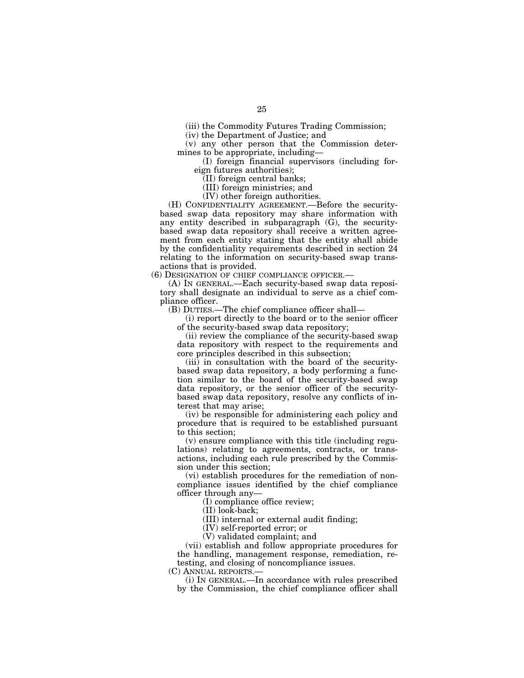(iii) the Commodity Futures Trading Commission;

(iv) the Department of Justice; and

(v) any other person that the Commission determines to be appropriate, including—

(I) foreign financial supervisors (including foreign futures authorities);

(II) foreign central banks;

(III) foreign ministries; and

(IV) other foreign authorities.

(H) CONFIDENTIALITY AGREEMENT.—Before the securitybased swap data repository may share information with any entity described in subparagraph (G), the securitybased swap data repository shall receive a written agreement from each entity stating that the entity shall abide by the confidentiality requirements described in section 24 relating to the information on security-based swap transactions that is provided.

(6) DESIGNATION OF CHIEF COMPLIANCE OFFICER.—

(A) IN GENERAL.—Each security-based swap data repository shall designate an individual to serve as a chief compliance officer.

(B) DUTIES.—The chief compliance officer shall—

(i) report directly to the board or to the senior officer of the security-based swap data repository;

(ii) review the compliance of the security-based swap data repository with respect to the requirements and core principles described in this subsection;

(iii) in consultation with the board of the securitybased swap data repository, a body performing a function similar to the board of the security-based swap data repository, or the senior officer of the securitybased swap data repository, resolve any conflicts of interest that may arise;

(iv) be responsible for administering each policy and procedure that is required to be established pursuant to this section;

(v) ensure compliance with this title (including regulations) relating to agreements, contracts, or transactions, including each rule prescribed by the Commission under this section;

(vi) establish procedures for the remediation of noncompliance issues identified by the chief compliance officer through any—

(I) compliance office review;

(II) look-back;

(III) internal or external audit finding;

(IV) self-reported error; or

(V) validated complaint; and

(vii) establish and follow appropriate procedures for the handling, management response, remediation, retesting, and closing of noncompliance issues.

(C) ANNUAL REPORTS.—

(i) IN GENERAL.—In accordance with rules prescribed by the Commission, the chief compliance officer shall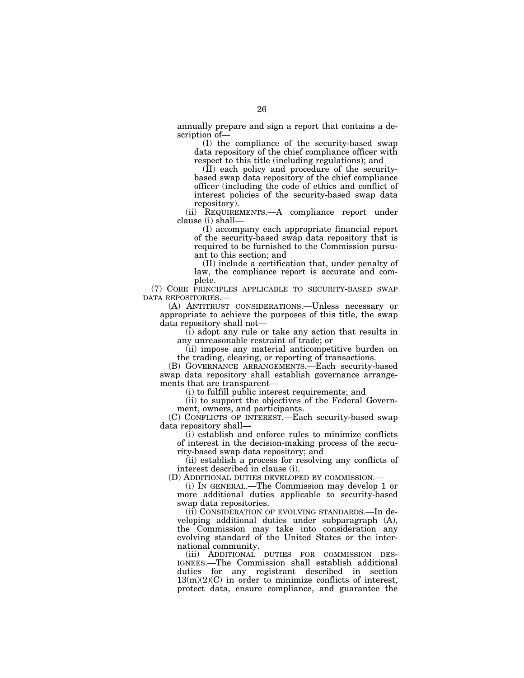annually prepare and sign a report that contains a description of—

(I) the compliance of the security-based swap data repository of the chief compliance officer with respect to this title (including regulations); and

(II) each policy and procedure of the securitybased swap data repository of the chief compliance officer (including the code of ethics and conflict of interest policies of the security-based swap data repository).

(ii) REQUIREMENTS.—A compliance report under clause (i) shall—

(I) accompany each appropriate financial report of the security-based swap data repository that is required to be furnished to the Commission pursuant to this section; and

(II) include a certification that, under penalty of law, the compliance report is accurate and complete.

(7) CORE PRINCIPLES APPLICABLE TO SECURITY-BASED SWAP

(A) ANTITRUST CONSIDERATIONS.—Unless necessary or appropriate to achieve the purposes of this title, the swap data repository shall not—

(i) adopt any rule or take any action that results in any unreasonable restraint of trade; or

(ii) impose any material anticompetitive burden on the trading, clearing, or reporting of transactions.

(B) GOVERNANCE ARRANGEMENTS.—Each security-based swap data repository shall establish governance arrangements that are transparent—

(i) to fulfill public interest requirements; and

(ii) to support the objectives of the Federal Government, owners, and participants.

(C) CONFLICTS OF INTEREST.—Each security-based swap data repository shall—

(i) establish and enforce rules to minimize conflicts of interest in the decision-making process of the security-based swap data repository; and

(ii) establish a process for resolving any conflicts of interest described in clause (i).

(D) ADDITIONAL DUTIES DEVELOPED BY COMMISSION.—

(i) IN GENERAL.—The Commission may develop 1 or more additional duties applicable to security-based swap data repositories.

(ii) CONSIDERATION OF EVOLVING STANDARDS.—In developing additional duties under subparagraph (A), the Commission may take into consideration any evolving standard of the United States or the international community.<br>
(iii) ADDITIONAL DUTIES FOR COMMISSION DES-

IGNEES.—The Commission shall establish additional duties for any registrant described in section  $13(m)(2)(C)$  in order to minimize conflicts of interest, protect data, ensure compliance, and guarantee the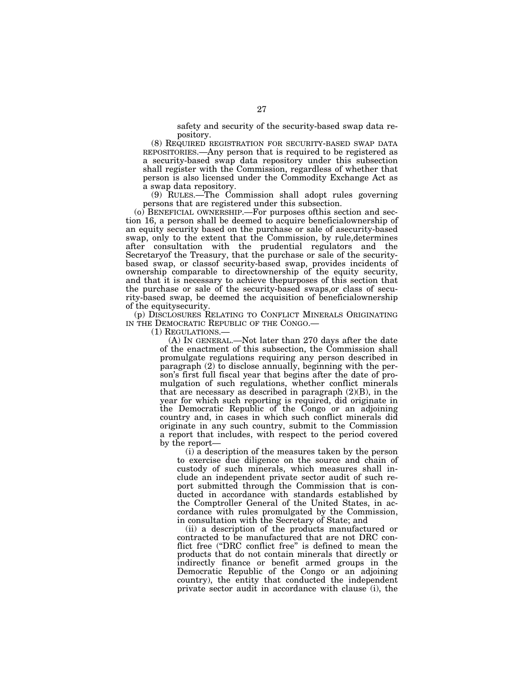safety and security of the security-based swap data repository.

(8) REQUIRED REGISTRATION FOR SECURITY-BASED SWAP DATA REPOSITORIES.—Any person that is required to be registered as a security-based swap data repository under this subsection shall register with the Commission, regardless of whether that person is also licensed under the Commodity Exchange Act as a swap data repository.

(9) RULES.—The Commission shall adopt rules governing persons that are registered under this subsection.

(o) BENEFICIAL OWNERSHIP.—For purposes ofthis section and section 16, a person shall be deemed to acquire beneficialownership of an equity security based on the purchase or sale of asecurity-based swap, only to the extent that the Commission, by rule,determines after consultation with the prudential regulators and the Secretaryof the Treasury, that the purchase or sale of the securitybased swap, or classof security-based swap, provides incidents of ownership comparable to directownership of the equity security, and that it is necessary to achieve thepurposes of this section that the purchase or sale of the security-based swaps,or class of security-based swap, be deemed the acquisition of beneficialownership of the equitysecurity.

(p) DISCLOSURES RELATING TO CONFLICT MINERALS ORIGINATING IN THE DEMOCRATIC REPUBLIC OF THE CONGO.—

(1) REGULATIONS.—<br>(A) IN GENERAL.—Not later than 270 days after the date of the enactment of this subsection, the Commission shall promulgate regulations requiring any person described in paragraph (2) to disclose annually, beginning with the person's first full fiscal year that begins after the date of promulgation of such regulations, whether conflict minerals that are necessary as described in paragraph  $(2)(B)$ , in the year for which such reporting is required, did originate in the Democratic Republic of the Congo or an adjoining country and, in cases in which such conflict minerals did originate in any such country, submit to the Commission a report that includes, with respect to the period covered by the report—

(i) a description of the measures taken by the person to exercise due diligence on the source and chain of custody of such minerals, which measures shall include an independent private sector audit of such report submitted through the Commission that is conducted in accordance with standards established by the Comptroller General of the United States, in accordance with rules promulgated by the Commission, in consultation with the Secretary of State; and

(ii) a description of the products manufactured or contracted to be manufactured that are not DRC conflict free (''DRC conflict free'' is defined to mean the products that do not contain minerals that directly or indirectly finance or benefit armed groups in the Democratic Republic of the Congo or an adjoining country), the entity that conducted the independent private sector audit in accordance with clause (i), the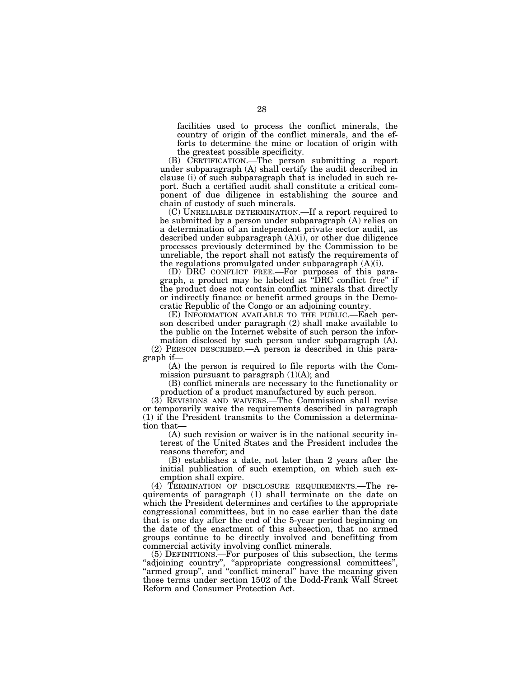facilities used to process the conflict minerals, the country of origin of the conflict minerals, and the efforts to determine the mine or location of origin with the greatest possible specificity.

(B) CERTIFICATION.—The person submitting a report under subparagraph (A) shall certify the audit described in clause (i) of such subparagraph that is included in such report. Such a certified audit shall constitute a critical component of due diligence in establishing the source and chain of custody of such minerals.

(C) UNRELIABLE DETERMINATION.—If a report required to be submitted by a person under subparagraph (A) relies on a determination of an independent private sector audit, as described under subparagraph (A)(i), or other due diligence processes previously determined by the Commission to be unreliable, the report shall not satisfy the requirements of the regulations promulgated under subparagraph  $(A)(i)$ .

(D) DRC CONFLICT FREE.—For purposes of this paragraph, a product may be labeled as ''DRC conflict free'' if the product does not contain conflict minerals that directly or indirectly finance or benefit armed groups in the Democratic Republic of the Congo or an adjoining country.

(E) INFORMATION AVAILABLE TO THE PUBLIC.—Each person described under paragraph (2) shall make available to the public on the Internet website of such person the information disclosed by such person under subparagraph (A).

(2) PERSON DESCRIBED.—A person is described in this paragraph if—

(A) the person is required to file reports with the Commission pursuant to paragraph  $(1)(A)$ ; and

(B) conflict minerals are necessary to the functionality or production of a product manufactured by such person.

(3) REVISIONS AND WAIVERS.—The Commission shall revise or temporarily waive the requirements described in paragraph (1) if the President transmits to the Commission a determination that—

(A) such revision or waiver is in the national security interest of the United States and the President includes the reasons therefor; and

(B) establishes a date, not later than 2 years after the initial publication of such exemption, on which such exemption shall expire.

(4) TERMINATION OF DISCLOSURE REQUIREMENTS.—The requirements of paragraph (1) shall terminate on the date on which the President determines and certifies to the appropriate congressional committees, but in no case earlier than the date that is one day after the end of the 5-year period beginning on the date of the enactment of this subsection, that no armed groups continue to be directly involved and benefitting from commercial activity involving conflict minerals.

(5) DEFINITIONS.—For purposes of this subsection, the terms "adjoining country", "appropriate congressional committees", "armed group", and "conflict mineral" have the meaning given those terms under section 1502 of the Dodd-Frank Wall Street Reform and Consumer Protection Act.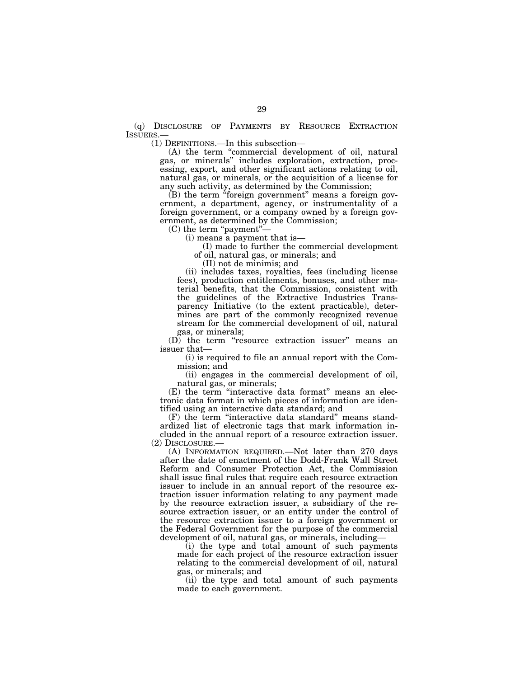(q) DISCLOSURE OF PAYMENTS BY RESOURCE EXTRACTION ISSUERS.—

(1) DEFINITIONS.—In this subsection—

(A) the term ''commercial development of oil, natural gas, or minerals'' includes exploration, extraction, processing, export, and other significant actions relating to oil, natural gas, or minerals, or the acquisition of a license for any such activity, as determined by the Commission;

(B) the term ''foreign government'' means a foreign government, a department, agency, or instrumentality of a foreign government, or a company owned by a foreign government, as determined by the Commission;

 $(C)$  the term "payment"-

(i) means a payment that is—

(I) made to further the commercial development of oil, natural gas, or minerals; and

(II) not de minimis; and

(ii) includes taxes, royalties, fees (including license fees), production entitlements, bonuses, and other material benefits, that the Commission, consistent with the guidelines of the Extractive Industries Transparency Initiative (to the extent practicable), determines are part of the commonly recognized revenue stream for the commercial development of oil, natural gas, or minerals;

(D) the term ''resource extraction issuer'' means an issuer that—

(i) is required to file an annual report with the Commission; and

(ii) engages in the commercial development of oil, natural gas, or minerals;

 $(E)$  the term "interactive data format" means an electronic data format in which pieces of information are identified using an interactive data standard; and

(F) the term ''interactive data standard'' means standardized list of electronic tags that mark information included in the annual report of a resource extraction issuer.<br>(2)  $\text{DISCLOSURE}$ —

(A) INFORMATION REQUIRED.—Not later than 270 days after the date of enactment of the Dodd-Frank Wall Street Reform and Consumer Protection Act, the Commission shall issue final rules that require each resource extraction issuer to include in an annual report of the resource extraction issuer information relating to any payment made by the resource extraction issuer, a subsidiary of the resource extraction issuer, or an entity under the control of the resource extraction issuer to a foreign government or the Federal Government for the purpose of the commercial development of oil, natural gas, or minerals, including—

(i) the type and total amount of such payments made for each project of the resource extraction issuer relating to the commercial development of oil, natural gas, or minerals; and

(ii) the type and total amount of such payments made to each government.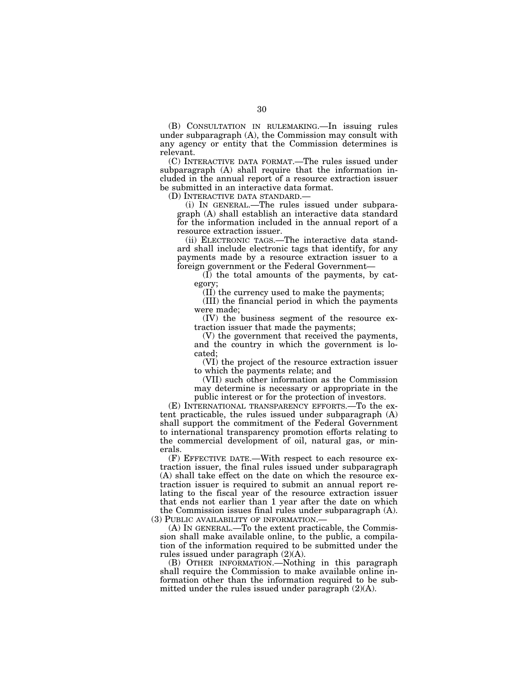(B) CONSULTATION IN RULEMAKING.—In issuing rules under subparagraph (A), the Commission may consult with any agency or entity that the Commission determines is relevant.

(C) INTERACTIVE DATA FORMAT.—The rules issued under subparagraph (A) shall require that the information included in the annual report of a resource extraction issuer be submitted in an interactive data format.

(D) INTERACTIVE DATA STANDARD.—

(i) IN GENERAL.—The rules issued under subparagraph (A) shall establish an interactive data standard for the information included in the annual report of a resource extraction issuer.

(ii) ELECTRONIC TAGS.—The interactive data standard shall include electronic tags that identify, for any payments made by a resource extraction issuer to a foreign government or the Federal Government—

(I) the total amounts of the payments, by category;

(II) the currency used to make the payments;

(III) the financial period in which the payments were made;

(IV) the business segment of the resource extraction issuer that made the payments;

(V) the government that received the payments, and the country in which the government is located;

(VI) the project of the resource extraction issuer to which the payments relate; and

(VII) such other information as the Commission may determine is necessary or appropriate in the public interest or for the protection of investors.

(E) INTERNATIONAL TRANSPARENCY EFFORTS.—To the extent practicable, the rules issued under subparagraph (A) shall support the commitment of the Federal Government to international transparency promotion efforts relating to the commercial development of oil, natural gas, or minerals.

(F) EFFECTIVE DATE.—With respect to each resource extraction issuer, the final rules issued under subparagraph (A) shall take effect on the date on which the resource extraction issuer is required to submit an annual report relating to the fiscal year of the resource extraction issuer that ends not earlier than 1 year after the date on which the Commission issues final rules under subparagraph (A). (3) PUBLIC AVAILABILITY OF INFORMATION.—

(A) IN GENERAL.—To the extent practicable, the Commission shall make available online, to the public, a compilation of the information required to be submitted under the rules issued under paragraph (2)(A).

(B) OTHER INFORMATION.—Nothing in this paragraph shall require the Commission to make available online information other than the information required to be submitted under the rules issued under paragraph (2)(A).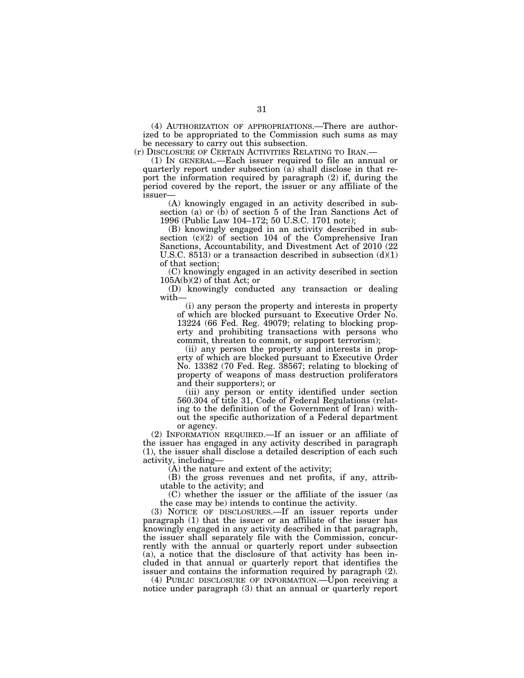(4) AUTHORIZATION OF APPROPRIATIONS.—There are authorized to be appropriated to the Commission such sums as may be necessary to carry out this subsection.<br>(r) DISCLOSURE OF CERTAIN ACTIVITIES RELATING TO IRAN.—

 $(1)$  In GENERAL.—Each issuer required to file an annual or quarterly report under subsection (a) shall disclose in that report the information required by paragraph (2) if, during the period covered by the report, the issuer or any affiliate of the issuer—

(A) knowingly engaged in an activity described in subsection (a) or (b) of section 5 of the Iran Sanctions Act of 1996 (Public Law 104–172; 50 U.S.C. 1701 note);

(B) knowingly engaged in an activity described in subsection  $(c)(2)$  of section 104 of the Comprehensive Iran Sanctions, Accountability, and Divestment Act of 2010 (22 U.S.C. 8513) or a transaction described in subsection  $(d)(1)$ of that section;

(C) knowingly engaged in an activity described in section  $105A(b)(2)$  of that Act; or

(D) knowingly conducted any transaction or dealing with—

(i) any person the property and interests in property of which are blocked pursuant to Executive Order No. 13224 (66 Fed. Reg. 49079; relating to blocking property and prohibiting transactions with persons who commit, threaten to commit, or support terrorism);

(ii) any person the property and interests in property of which are blocked pursuant to Executive Order No. 13382 (70 Fed. Reg. 38567; relating to blocking of property of weapons of mass destruction proliferators and their supporters); or

(iii) any person or entity identified under section 560.304 of title 31, Code of Federal Regulations (relating to the definition of the Government of Iran) without the specific authorization of a Federal department or agency.

(2) INFORMATION REQUIRED.—If an issuer or an affiliate of the issuer has engaged in any activity described in paragraph (1), the issuer shall disclose a detailed description of each such activity, including—

(A) the nature and extent of the activity;

(B) the gross revenues and net profits, if any, attributable to the activity; and

(C) whether the issuer or the affiliate of the issuer (as the case may be) intends to continue the activity.

(3) NOTICE OF DISCLOSURES.—If an issuer reports under paragraph (1) that the issuer or an affiliate of the issuer has knowingly engaged in any activity described in that paragraph, the issuer shall separately file with the Commission, concurrently with the annual or quarterly report under subsection (a), a notice that the disclosure of that activity has been included in that annual or quarterly report that identifies the issuer and contains the information required by paragraph (2).

(4) PUBLIC DISCLOSURE OF INFORMATION.—Upon receiving a notice under paragraph (3) that an annual or quarterly report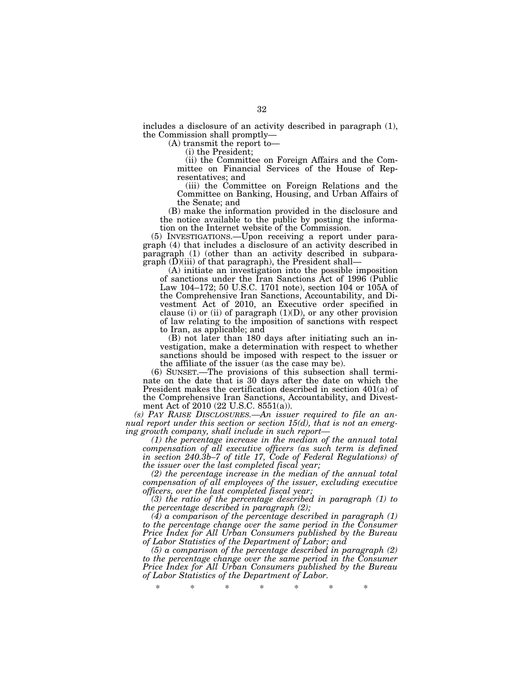includes a disclosure of an activity described in paragraph (1), the Commission shall promptly—

(A) transmit the report to—

(i) the President;

(ii) the Committee on Foreign Affairs and the Committee on Financial Services of the House of Representatives; and

(iii) the Committee on Foreign Relations and the Committee on Banking, Housing, and Urban Affairs of the Senate; and

(B) make the information provided in the disclosure and the notice available to the public by posting the information on the Internet website of the Commission.

(5) INVESTIGATIONS.—Upon receiving a report under paragraph (4) that includes a disclosure of an activity described in paragraph (1) (other than an activity described in subparagraph (D)(iii) of that paragraph), the President shall—

(A) initiate an investigation into the possible imposition of sanctions under the Iran Sanctions Act of 1996 (Public Law 104–172; 50 U.S.C. 1701 note), section 104 or 105A of the Comprehensive Iran Sanctions, Accountability, and Divestment Act of 2010, an Executive order specified in clause (i) or (ii) of paragraph  $(1)(D)$ , or any other provision of law relating to the imposition of sanctions with respect to Iran, as applicable; and

(B) not later than 180 days after initiating such an investigation, make a determination with respect to whether sanctions should be imposed with respect to the issuer or the affiliate of the issuer (as the case may be).

(6) SUNSET.—The provisions of this subsection shall terminate on the date that is 30 days after the date on which the President makes the certification described in section 401(a) of the Comprehensive Iran Sanctions, Accountability, and Divestment Act of 2010 (22 U.S.C. 8551(a)).

*(s) PAY RAISE DISCLOSURES.—An issuer required to file an annual report under this section or section 15(d), that is not an emerging growth company, shall include in such report—* 

*(1) the percentage increase in the median of the annual total compensation of all executive officers (as such term is defined in section 240.3b–7 of title 17, Code of Federal Regulations) of the issuer over the last completed fiscal year;* 

*(2) the percentage increase in the median of the annual total compensation of all employees of the issuer, excluding executive officers, over the last completed fiscal year;* 

*(3) the ratio of the percentage described in paragraph (1) to the percentage described in paragraph (2);* 

*(4) a comparison of the percentage described in paragraph (1) to the percentage change over the same period in the Consumer Price Index for All Urban Consumers published by the Bureau of Labor Statistics of the Department of Labor; and* 

*(5) a comparison of the percentage described in paragraph (2) to the percentage change over the same period in the Consumer Price Index for All Urban Consumers published by the Bureau of Labor Statistics of the Department of Labor.* 

\* \* \* \* \* \* \*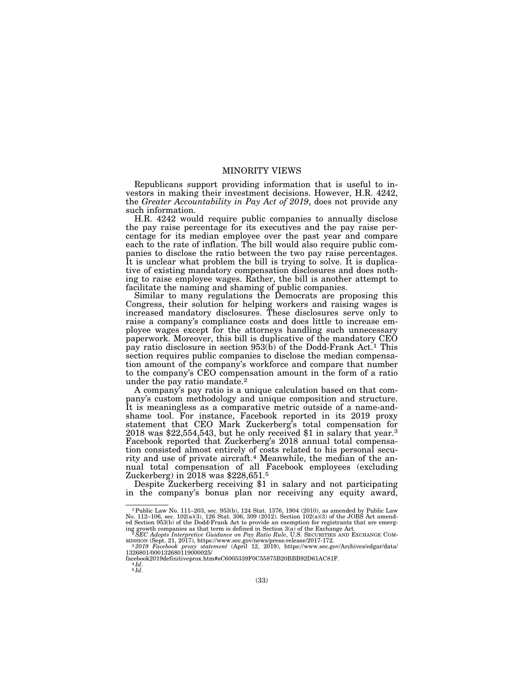# MINORITY VIEWS

Republicans support providing information that is useful to investors in making their investment decisions. However, H.R. 4242, the *Greater Accountability in Pay Act of 2019*, does not provide any such information.

H.R. 4242 would require public companies to annually disclose the pay raise percentage for its executives and the pay raise percentage for its median employee over the past year and compare each to the rate of inflation. The bill would also require public companies to disclose the ratio between the two pay raise percentages. It is unclear what problem the bill is trying to solve. It is duplicative of existing mandatory compensation disclosures and does nothing to raise employee wages. Rather, the bill is another attempt to facilitate the naming and shaming of public companies.

Similar to many regulations the Democrats are proposing this Congress, their solution for helping workers and raising wages is increased mandatory disclosures. These disclosures serve only to raise a company's compliance costs and does little to increase employee wages except for the attorneys handling such unnecessary paperwork. Moreover, this bill is duplicative of the mandatory CEO pay ratio disclosure in section 953(b) of the Dodd-Frank Act.<sup>1</sup> This section requires public companies to disclose the median compensation amount of the company's workforce and compare that number to the company's CEO compensation amount in the form of a ratio under the pay ratio mandate.2

A company's pay ratio is a unique calculation based on that company's custom methodology and unique composition and structure. It is meaningless as a comparative metric outside of a name-andshame tool. For instance, Facebook reported in its 2019 proxy statement that CEO Mark Zuckerberg's total compensation for 2018 was \$22,554,543, but he only received \$1 in salary that year.3 Facebook reported that Zuckerberg's 2018 annual total compensation consisted almost entirely of costs related to his personal security and use of private aircraft.4 Meanwhile, the median of the annual total compensation of all Facebook employees (excluding Zuckerberg) in  $2018$  was \$228,651.<sup>5</sup>

Despite Zuckerberg receiving \$1 in salary and not participating in the company's bonus plan nor receiving any equity award,

<sup>&</sup>lt;sup>1</sup> Public Law No. 111–203, sec. 953(b), 124 Stat. 1376, 1904 (2010), as amended by Public Law No. 112–106, sec. 102(a)(3), 126 Stat. 306, 309 (2012). Section 102(a)(3) of the JOBS Act amended Section 953(b) of the Dodd-F

ing growth companies as that term is defined in Section 3(a) of the Exchange Act. <sup>2</sup>*SEC Adopts Interpretive Guidance on Pay Ratio Rule*, U.S. SECURITIES AND EXCHANGE COMMISSION (Sept. 21, 2017), https://www.sec.gov/news/

MISSION (Sept. 21, 2017), https://www.sec.gov/news/press-release/2017-172.<br><sup>3</sup> 2019 *Facebook proxy statement (*April 12, 2019), https://www.sec.gov/Archives/edgar/data/<br>1326801/000132680119000025/

facebook2019definitiveprox.htm#sC6005339F0C55875B20BBB92D61AC81F. 4 *Id*. 5 *Id*.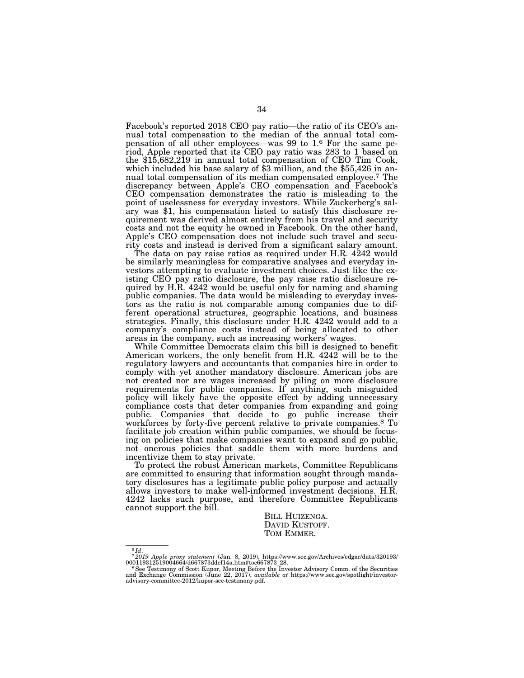Facebook's reported 2018 CEO pay ratio—the ratio of its CEO's annual total compensation to the median of the annual total compensation of all other employees—was 99 to 1.6 For the same period, Apple reported that its CEO pay ratio was 283 to 1 based on the \$15,682,219 in annual total compensation of CEO Tim Cook, which included his base salary of \$3 million, and the \$55,426 in annual total compensation of its median compensated employee.7 The discrepancy between Apple's CEO compensation and Facebook's CEO compensation demonstrates the ratio is misleading to the point of uselessness for everyday investors. While Zuckerberg's salary was \$1, his compensation listed to satisfy this disclosure requirement was derived almost entirely from his travel and security costs and not the equity he owned in Facebook. On the other hand, Apple's CEO compensation does not include such travel and security costs and instead is derived from a significant salary amount.

The data on pay raise ratios as required under H.R. 4242 would be similarly meaningless for comparative analyses and everyday investors attempting to evaluate investment choices. Just like the existing CEO pay ratio disclosure, the pay raise ratio disclosure required by H.R. 4242 would be useful only for naming and shaming public companies. The data would be misleading to everyday investors as the ratio is not comparable among companies due to different operational structures, geographic locations, and business strategies. Finally, this disclosure under H.R. 4242 would add to a company's compliance costs instead of being allocated to other areas in the company, such as increasing workers' wages.

While Committee Democrats claim this bill is designed to benefit American workers, the only benefit from H.R. 4242 will be to the regulatory lawyers and accountants that companies hire in order to comply with yet another mandatory disclosure. American jobs are not created nor are wages increased by piling on more disclosure requirements for public companies. If anything, such misguided policy will likely have the opposite effect by adding unnecessary compliance costs that deter companies from expanding and going public. Companies that decide to go public increase their workforces by forty-five percent relative to private companies.8 To facilitate job creation within public companies, we should be focusing on policies that make companies want to expand and go public, not onerous policies that saddle them with more burdens and incentivize them to stay private.

To protect the robust American markets, Committee Republicans are committed to ensuring that information sought through mandatory disclosures has a legitimate public policy purpose and actually allows investors to make well-informed investment decisions. H.R. 4242 lacks such purpose, and therefore Committee Republicans cannot support the bill.

BILL HUIZENGA. DAVID KUSTOFF. TOM EMMER.

<sup>6</sup> *Id*. 7 *2019 Apple proxy statement* (Jan. 8, 2019), https://www.sec.gov/Archives/edgar/data/320193/

<sup>&</sup>lt;sup>8</sup> See Testimony of Scott Kupor, Meeting Before the Investor Advisory Comm. of the Securities and Exchange Commission (June 22, 2017), *available at* https://www.sec.gov/spotlight/investoradvisory-committee-2012/kupor-sec-testimony.pdf.